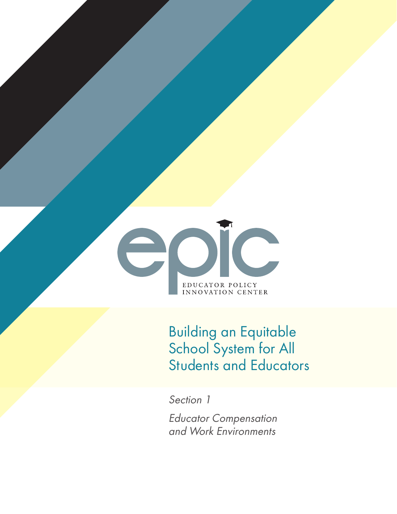

## Building an Equitable School System for All Students and Educators

Section 1

Educator Compensation and Work Environments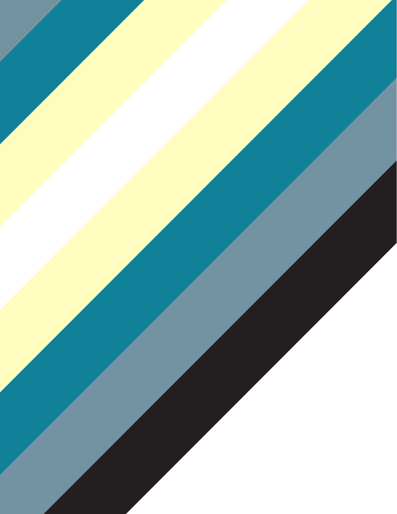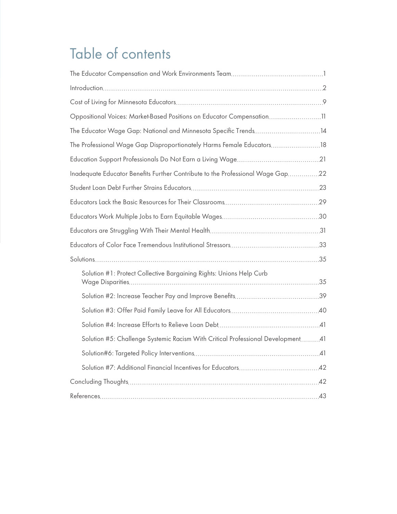## Table of contents

| Oppositional Voices: Market-Based Positions on Educator Compensation11          |  |
|---------------------------------------------------------------------------------|--|
| The Educator Wage Gap: National and Minnesota Specific Trends14                 |  |
| The Professional Wage Gap Disproportionately Harms Female Educators18           |  |
|                                                                                 |  |
| Inadequate Educator Benefits Further Contribute to the Professional Wage Gap22  |  |
|                                                                                 |  |
|                                                                                 |  |
|                                                                                 |  |
|                                                                                 |  |
|                                                                                 |  |
|                                                                                 |  |
| Solution #1: Protect Collective Bargaining Rights: Unions Help Curb             |  |
|                                                                                 |  |
|                                                                                 |  |
|                                                                                 |  |
| Solution #5: Challenge Systemic Racism With Critical Professional Development41 |  |
|                                                                                 |  |
|                                                                                 |  |
|                                                                                 |  |
|                                                                                 |  |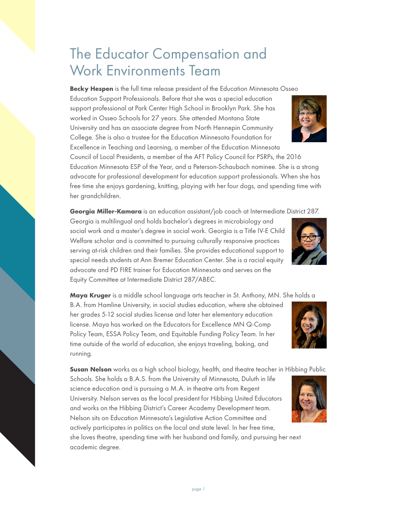## The Educator Compensation and Work Environments Team

**Becky Hespen** is the full time release president of the Education Minnesota Osseo

Education Support Professionals. Before that she was a special education support professional at Park Center High School in Brooklyn Park. She has worked in Osseo Schools for 27 years. She attended Montana State University and has an associate degree from North Hennepin Community College. She is also a trustee for the Education Minnesota Foundation for Excellence in Teaching and Learning, a member of the Education Minnesota

Council of Local Presidents, a member of the AFT Policy Council for PSRPs, the 2016 Education Minnesota ESP of the Year, and a Peterson-Schaubach nominee. She is a strong advocate for professional development for education support professionals. When she has free time she enjoys gardening, knitting, playing with her four dogs, and spending time with her grandchildren.

**Georgia Miller-Kamara** is an education assistant/job coach at Intermediate District 287.

Georgia is multilingual and holds bachelor's degrees in microbiology and social work and a master's degree in social work. Georgia is a Title IV-E Child Welfare scholar and is committed to pursuing culturally responsive practices serving at-risk children and their families. She provides educational support to special needs students at Ann Bremer Education Center. She is a racial equity advocate and PD FIRE trainer for Education Minnesota and serves on the Equity Committee at Intermediate District 287/ABEC.

**Maya Kruger** is a middle school language arts teacher in St. Anthony, MN. She holds a

B.A. from Hamline University, in social studies education, where she obtained her grades 5-12 social studies license and later her elementary education license. Maya has worked on the Educators for Excellence MN Q-Comp Policy Team, ESSA Policy Team, and Equitable Funding Policy Team. In her time outside of the world of education, she enjoys traveling, baking, and running.

**Susan Nelson** works as a high school biology, health, and theatre teacher in Hibbing Public

Schools. She holds a B.A.S. from the University of Minnesota, Duluth in life science education and is pursuing a M.A. in theatre arts from Regent University. Nelson serves as the local president for Hibbing United Educators and works on the Hibbing District's Career Academy Development team. Nelson sits on Education Minnesota's Legislative Action Committee and actively participates in politics on the local and state level. In her free time,

she loves theatre, spending time with her husband and family, and pursuing her next academic degree.







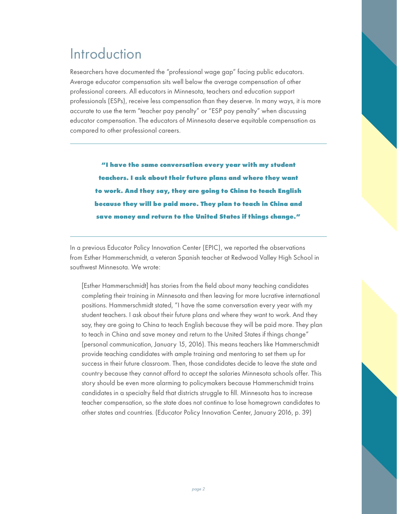## Introduction

Researchers have documented the "professional wage gap" facing public educators. Average educator compensation sits well below the average compensation of other professional careers. All educators in Minnesota, teachers and education support professionals (ESPs), receive less compensation than they deserve. In many ways, it is more accurate to use the term "teacher pay penalty" or "ESP pay penalty" when discussing educator compensation. The educators of Minnesota deserve equitable compensation as compared to other professional careers.

**"I have the same conversation every year with my student teachers. I ask about their future plans and where they want to work. And they say, they are going to China to teach English because they will be paid more. They plan to teach in China and save money and return to the United States if things change."**

In a previous Educator Policy Innovation Center (EPIC), we reported the observations from Esther Hammerschmidt, a veteran Spanish teacher at Redwood Valley High School in southwest Minnesota. We wrote:

[Esther Hammerschmidt] has stories from the field about many teaching candidates completing their training in Minnesota and then leaving for more lucrative international positions. Hammerschmidt stated, "I have the same conversation every year with my student teachers. I ask about their future plans and where they want to work. And they say, they are going to China to teach English because they will be paid more. They plan to teach in China and save money and return to the United States if things change" (personal communication, January 15, 2016). This means teachers like Hammerschmidt provide teaching candidates with ample training and mentoring to set them up for success in their future classroom. Then, those candidates decide to leave the state and country because they cannot afford to accept the salaries Minnesota schools offer. This story should be even more alarming to policymakers because Hammerschmidt trains candidates in a specialty field that districts struggle to fill. Minnesota has to increase teacher compensation, so the state does not continue to lose homegrown candidates to other states and countries. (Educator Policy Innovation Center, January 2016, p. 39)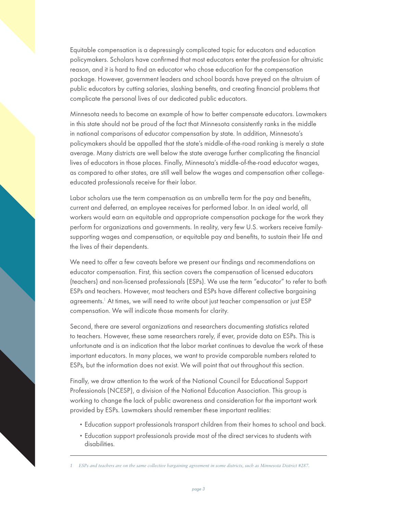Equitable compensation is a depressingly complicated topic for educators and education policymakers. Scholars have confirmed that most educators enter the profession for altruistic reason, and it is hard to find an educator who chose education for the compensation package. However, government leaders and school boards have preyed on the altruism of public educators by cutting salaries, slashing benefits, and creating financial problems that complicate the personal lives of our dedicated public educators.

Minnesota needs to become an example of how to better compensate educators. Lawmakers in this state should not be proud of the fact that Minnesota consistently ranks in the middle in national comparisons of educator compensation by state. In addition, Minnesota's policymakers should be appalled that the state's middle-of-the-road ranking is merely a state average. Many districts are well below the state average further complicating the financial lives of educators in those places. Finally, Minnesota's middle-of-the-road educator wages, as compared to other states, are still well below the wages and compensation other collegeeducated professionals receive for their labor.

Labor scholars use the term compensation as an umbrella term for the pay and benefits, current and deferred, an employee receives for performed labor. In an ideal world, all workers would earn an equitable and appropriate compensation package for the work they perform for organizations and governments. In reality, very few U.S. workers receive familysupporting wages and compensation, or equitable pay and benefits, to sustain their life and the lives of their dependents.

We need to offer a few caveats before we present our findings and recommendations on educator compensation. First, this section covers the compensation of licensed educators (teachers) and non-licensed professionals (ESPs). We use the term "educator" to refer to both ESPs and teachers. However, most teachers and ESPs have different collective bargaining agreements.1 At times, we will need to write about just teacher compensation or just ESP compensation. We will indicate those moments for clarity.

Second, there are several organizations and researchers documenting statistics related to teachers. However, these same researchers rarely, if ever, provide data on ESPs. This is unfortunate and is an indication that the labor market continues to devalue the work of these important educators. In many places, we want to provide comparable numbers related to ESPs, but the information does not exist. We will point that out throughout this section.

Finally, we draw attention to the work of the National Council for Educational Support Professionals (NCESP), a division of the National Education Association. This group is working to change the lack of public awareness and consideration for the important work provided by ESPs. Lawmakers should remember these important realities:

- •Education support professionals transport children from their homes to school and back.
- •Education support professionals provide most of the direct services to students with disabilities.

*<sup>1</sup> ESPs and teachers are on the same collective bargaining agreement in some districts, such as Minnesota District #287.*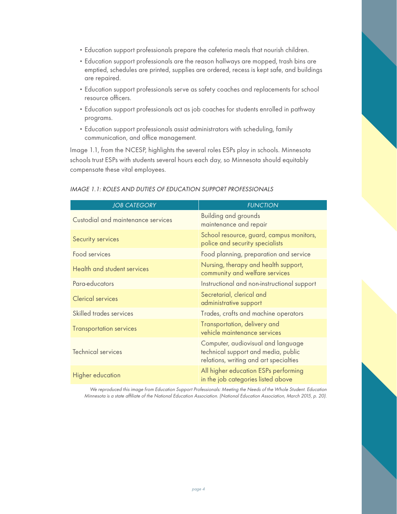- •Education support professionals prepare the cafeteria meals that nourish children.
- •Education support professionals are the reason hallways are mopped, trash bins are emptied, schedules are printed, supplies are ordered, recess is kept safe, and buildings are repaired.
- •Education support professionals serve as safety coaches and replacements for school resource officers.
- •Education support professionals act as job coaches for students enrolled in pathway programs.
- •Education support professionals assist administrators with scheduling, family communication, and office management.

Image 1.1, from the NCESP, highlights the several roles ESPs play in schools. Minnesota schools trust ESPs with students several hours each day, so Minnesota should equitably compensate these vital employees.

| <b>JOB CATEGORY</b>                | <b>FUNCTION</b>                                                                                                     |
|------------------------------------|---------------------------------------------------------------------------------------------------------------------|
| Custodial and maintenance services | <b>Building and grounds</b><br>maintenance and repair                                                               |
| Security services                  | School resource, guard, campus monitors,<br>police and security specialists                                         |
| Food services                      | Food planning, preparation and service                                                                              |
| Health and student services        | Nursing, therapy and health support,<br>community and welfare services                                              |
| Para-educators                     | Instructional and non-instructional support                                                                         |
| Clerical services                  | Secretarial, clerical and<br>administrative support                                                                 |
| Skilled trades services            | Trades, crafts and machine operators                                                                                |
| <b>Transportation services</b>     | Transportation, delivery and<br>vehicle maintenance services                                                        |
| Technical services                 | Computer, audiovisual and language<br>technical support and media, public<br>relations, writing and art specialties |
| <b>Higher education</b>            | All higher education ESPs performing<br>in the job categories listed above                                          |

#### IMAGE 1.1: ROLES AND DUTIES OF EDUCATION SUPPORT PROFESSIONALS

We reproduced this image from Education Support Professionals: Meeting the Needs of the Whole Student. Education Minnesota is a state affiliate of the National Education Association. (National Education Association, March 2015, p. 20).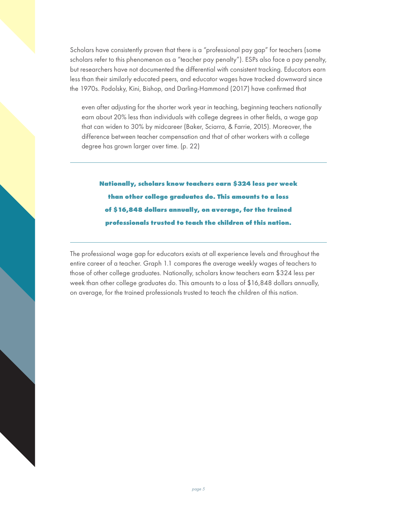Scholars have consistently proven that there is a "professional pay gap" for teachers (some scholars refer to this phenomenon as a "teacher pay penalty"). ESPs also face a pay penalty, but researchers have not documented the differential with consistent tracking. Educators earn less than their similarly educated peers, and educator wages have tracked downward since the 1970s. Podolsky, Kini, Bishop, and Darling-Hammond (2017) have confirmed that

even after adjusting for the shorter work year in teaching, beginning teachers nationally earn about 20% less than individuals with college degrees in other fields, a wage gap that can widen to 30% by midcareer (Baker, Sciarra, & Farrie, 2015). Moreover, the difference between teacher compensation and that of other workers with a college degree has grown larger over time. (p. 22)

### **Nationally, scholars know teachers earn \$324 less per week than other college graduates do. This amounts to a loss of \$16,848 dollars annually, on average, for the trained professionals trusted to teach the children of this nation.**

The professional wage gap for educators exists at all experience levels and throughout the entire career of a teacher. Graph 1.1 compares the average weekly wages of teachers to those of other college graduates. Nationally, scholars know teachers earn \$324 less per week than other college graduates do. This amounts to a loss of \$16,848 dollars annually, on average, for the trained professionals trusted to teach the children of this nation.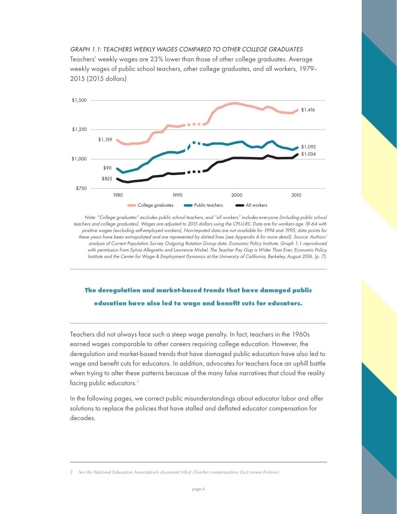

GRAPH 1.1: TEACHERS WEEKLY WAGES COMPARED TO OTHER COLLEGE GRADUATES

Teachers' weekly wages are 23% lower than those of other college graduates. Average weekly wages of public school teachers, other college graduates, and all workers, 1979– 2015 (2015 dollars)

Note: "College graduates" excludes public school teachers, and "all workers" includes everyone (including public school teachers and college graduates). Wages are adjusted to 2015 dollars using the CPI-U-RS. Data are for workers age 18–64 with positive wages (excluding self-employed workers). Non-imputed data are not available for 1994 and 1995; data points for these years have been extrapolated and are represented by dotted lines (see Appendix A for more detail). Source: Authors' analysis of Current Population Survey Outgoing Rotation Group data. Economic Policy Institute. Graph 1.1 reproduced with permission from Sylvia Allegretto and Lawrence Mishel, The Teacher Pay Gap is Wider Than Ever, Economic Policy Institute and the Center for Wage & Employment Dynamics at the University of California, Berkeley, August 2016. (p. 7).

### **The deregulation and market-based trends that have damaged public education have also led to wage and benefit cuts for educators.**

Teachers did not always face such a steep wage penalty. In fact, teachers in the 1960s earned wages comparable to other careers requiring college education. However, the deregulation and market-based trends that have damaged public education have also led to wage and benefit cuts for educators. In addition, advocates for teachers face an uphill battle when trying to alter these patterns because of the many false narratives that cloud the reality facing public educators.<sup>2</sup>

In the following pages, we correct public misunderstandings about educator labor and offer solutions to replace the policies that have stalled and deflated educator compensation for decades.

*<sup>2</sup> See the National Education Association's document titled (Teacher compensation: Fact versus Fiction.)*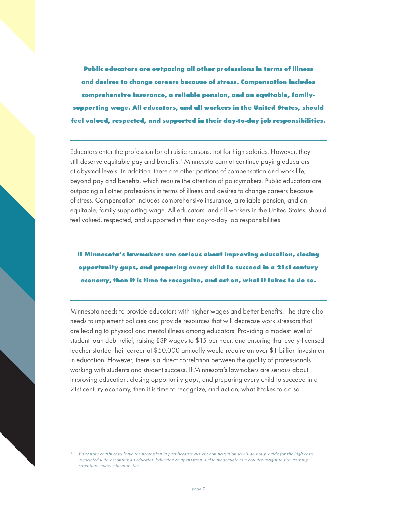**Public educators are outpacing all other professions in terms of illness and desires to change careers because of stress. Compensation includes comprehensive insurance, a reliable pension, and an equitable, familysupporting wage. All educators, and all workers in the United States, should feel valued, respected, and supported in their day-to-day job responsibilities.**

Educators enter the profession for altruistic reasons, not for high salaries. However, they still deserve equitable pay and benefits.<sup>3</sup> Minnesota cannot continue paying educators at abysmal levels. In addition, there are other portions of compensation and work life, beyond pay and benefits, which require the attention of policymakers. Public educators are outpacing all other professions in terms of illness and desires to change careers because of stress. Compensation includes comprehensive insurance, a reliable pension, and an equitable, family-supporting wage. All educators, and all workers in the United States, should feel valued, respected, and supported in their day-to-day job responsibilities.

**If Minnesota's lawmakers are serious about improving education, closing opportunity gaps, and preparing every child to succeed in a 21st century economy, then it is time to recognize, and act on, what it takes to do so.**

Minnesota needs to provide educators with higher wages and better benefits. The state also needs to implement policies and provide resources that will decrease work stressors that are leading to physical and mental illness among educators. Providing a modest level of student loan debt relief, raising ESP wages to \$15 per hour, and ensuring that every licensed teacher started their career at \$50,000 annually would require an over \$1 billion investment in education. However, there is a direct correlation between the quality of professionals working with students and student success. If Minnesota's lawmakers are serious about improving education, closing opportunity gaps, and preparing every child to succeed in a 21st century economy, then it is time to recognize, and act on, what it takes to do so.

*<sup>3</sup> Educators continue to leave the profession in part because current compensation levels do not provide for the high costs associated with becoming an educator. Educator compensation is also inadequate as a counter-weight to the working conditions many educators face.*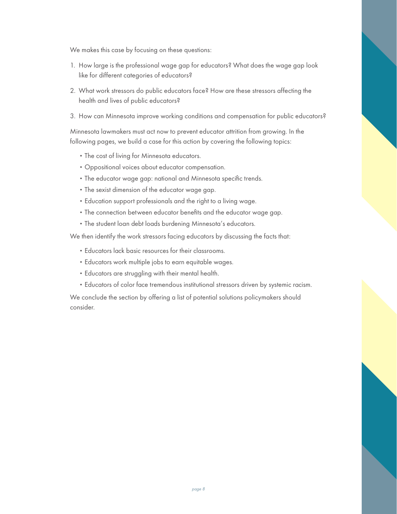We makes this case by focusing on these questions:

- 1. How large is the professional wage gap for educators? What does the wage gap look like for different categories of educators?
- 2. What work stressors do public educators face? How are these stressors affecting the health and lives of public educators?
- 3. How can Minnesota improve working conditions and compensation for public educators?

Minnesota lawmakers must act now to prevent educator attrition from growing. In the following pages, we build a case for this action by covering the following topics:

- •The cost of living for Minnesota educators.
- Oppositional voices about educator compensation.
- •The educator wage gap: national and Minnesota specific trends.
- •The sexist dimension of the educator wage gap.
- •Education support professionals and the right to a living wage.
- •The connection between educator benefits and the educator wage gap.
- •The student loan debt loads burdening Minnesota's educators.

We then identify the work stressors facing educators by discussing the facts that:

- •Educators lack basic resources for their classrooms.
- •Educators work multiple jobs to earn equitable wages.
- •Educators are struggling with their mental health.
- •Educators of color face tremendous institutional stressors driven by systemic racism.

We conclude the section by offering a list of potential solutions policymakers should consider.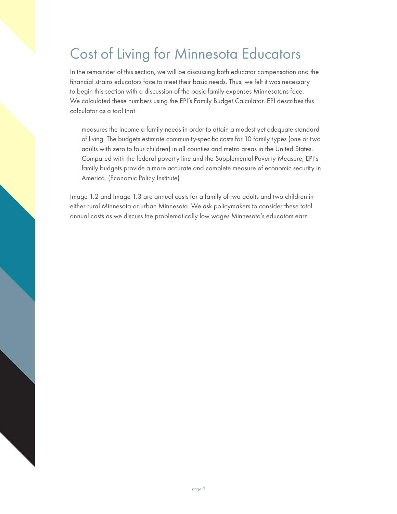# Cost of Living for Minnesota Educators

In the remainder of this section, we will be discussing both educator compensation and the financial strains educators face to meet their basic needs. Thus, we felt it was necessary to begin this section with a discussion of the basic family expenses Minnesotans face. We calculated these numbers using the EPI's Family Budget Calculator. EPI describes this calculator as a tool that

measures the income a family needs in order to attain a modest yet adequate standard of living. The budgets estimate community-specific costs for 10 family types (one or two adults with zero to four children) in all counties and metro areas in the United States. Compared with the federal poverty line and the Supplemental Poverty Measure, EPI's family budgets provide a more accurate and complete measure of economic security in America. (Economic Policy Institute)

Image 1.2 and Image 1.3 are annual costs for a family of two adults and two children in either rural Minnesota or urban Minnesota. We ask policymakers to consider these total annual costs as we discuss the problematically low wages Minnesota's educators earn.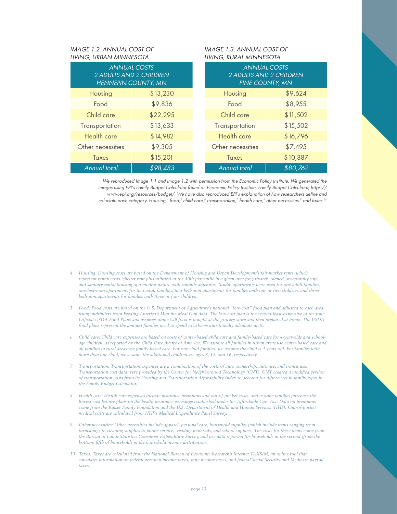#### IMAGE 1.2: ANNUAL COST OF LIVING, URBAN MINNESOTA ANNUAL COSTS 2 ADULTS AND 2 CHILDRE HENNEPIN COUNTY, MN IMAGE 1.3: ANNUAL COST OF LIVING, RURAL MINNESOTA ANNUAL COSTS

| 2 ADULTS AND 2 CHILDREN<br><b>HENNEPIN COUNTY, MN</b> |          | 2 ADULTS AND 2 CHILDREN<br>PINE COUNTY, MN |          |
|-------------------------------------------------------|----------|--------------------------------------------|----------|
| Housing                                               | \$13,230 | Housing                                    | \$9,624  |
| Food                                                  | \$9,836  | Food                                       | \$8,955  |
| Child care                                            | \$22,295 | Child care                                 | \$11,502 |
| Transportation                                        | \$13,633 | Transportation                             | \$15,502 |
| <b>Health care</b>                                    | \$14,982 | <b>Health care</b>                         | \$16,796 |
| Other necessities                                     | \$9,305  | Other necessities                          | \$7,495  |
| Taxes                                                 | \$15,201 | Taxes                                      | \$10,887 |
| <b>Annual total</b>                                   | \$98,483 | Annual total                               | \$80,762 |

We reproduced Image 1.1 and Image 1.2 with permission from the Economic Policy Institute. We generated the images using EPI's Family Budget Calculator found at: Economic Policy Institute, Family Budget Calculator, https:// www.epi.org/resources/budget/. We have also reproduced EPI's explanation of how researchers define and caluclate each category. Housing,4 food,5 child care,6 transportation,7 health care,8 other necessities,9 and taxes.10

*4 Housing: Housing costs are based on the Department of Housing and Urban Development's fair market rents, which represent rental costs (shelter rent plus utilities) at the 40th percentile in a given area for privately owned, structurally safe, and sanitary rental housing of a modest nature with suitable amenities. Studio apartments were used for one-adult families, one-bedroom apartments for two-adult families, two-bedroom apartments for families with one or two children, and threebedroom apartments for families with three or four children.*

- *5 Food: Food costs are based on the U.S. Department of Agriculture's national "low-cost" food plan and adjusted to each area using multipliers from Feeding America's Map the Meal Gap data. The low-cost plan is the second-least-expensive of the four Official USDA Food Plans and assumes almost all food is bought at the grocery store and then prepared at home. The USDA food plans represent the amount families need to spend to achieve nutritionally adequate diets.*
- *6 Child care: Child care expenses are based on costs of center-based child care and family-based care for 4-year-olds and schoolage children, as reported by the Child Care Aware of America. We assume all families in urban areas use center-based care and all families in rural areas use family-based care. For one-child families, we assume the child is 4 years old. For families with more than one child, we assume the additional children are ages 8, 12, and 16, respectively.*
- *7 Transportation: Transportation expenses are a combination of the costs of auto ownership, auto use, and transit use. Transportation cost data were provided by the Center for Neighborhood Technology (CNT). CNT created a modified version of transportation costs from its Housing and Transportation Affordability Index to account for differences in family types in the Family Budget Calculator.*
- *8 Health care: Health care expenses include insurance premiums and out-of-pocket costs, and assume families purchase the lowest cost bronze plans on the health insurance exchange established under the Affordable Care Act. Data on premiums come from the Kaiser Family Foundation and the U.S. Department of Health and Human Services (HHS). Out-of-pocket medical costs are calculated from HHS's Medical Expenditure Panel Survey.*
- *9 Other necessities: Other necessities include apparel, personal care, household supplies (which include items ranging from furnishings to cleaning supplies to phone service), reading materials, and school supplies. The costs for these items come from the Bureau of Labor Statistics Consumer Expenditure Survey, and use data reported for households in the second (from the bottom) fifth of households in the household income distribution.*
- *10 Taxes: Taxes are calculated from the National Bureau of Economic Research's Internet TAXSIM, an online tool that calculates information on federal personal income taxes, state income taxes, and federal Social Security and Medicare payroll taxes.*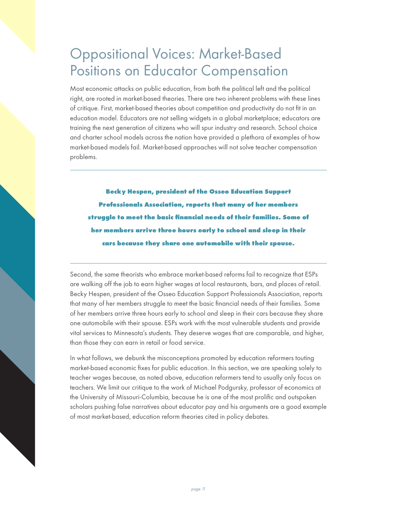## Oppositional Voices: Market-Based Positions on Educator Compensation

Most economic attacks on public education, from both the political left and the political right, are rooted in market-based theories. There are two inherent problems with these lines of critique. First, market-based theories about competition and productivity do not fit in an education model. Educators are not selling widgets in a global marketplace; educators are training the next generation of citizens who will spur industry and research. School choice and charter school models across the nation have provided a plethora of examples of how market-based models fail. Market-based approaches will not solve teacher compensation problems.

**Becky Hespen, president of the Osseo Education Support Professionals Association, reports that many of her members struggle to meet the basic financial needs of their families. Some of her members arrive three hours early to school and sleep in their cars because they share one automobile with their spouse.**

Second, the same theorists who embrace market-based reforms fail to recognize that ESPs are walking off the job to earn higher wages at local restaurants, bars, and places of retail. Becky Hespen, president of the Osseo Education Support Professionals Association, reports that many of her members struggle to meet the basic financial needs of their families. Some of her members arrive three hours early to school and sleep in their cars because they share one automobile with their spouse. ESPs work with the most vulnerable students and provide vital services to Minnesota's students. They deserve wages that are comparable, and higher, than those they can earn in retail or food service.

In what follows, we debunk the misconceptions promoted by education reformers touting market-based economic fixes for public education. In this section, we are speaking solely to teacher wages because, as noted above, education reformers tend to usually only focus on teachers. We limit our critique to the work of Michael Podgursky, professor of economics at the University of Missouri-Columbia, because he is one of the most prolific and outspoken scholars pushing false narratives about educator pay and his arguments are a good example of most market-based, education reform theories cited in policy debates.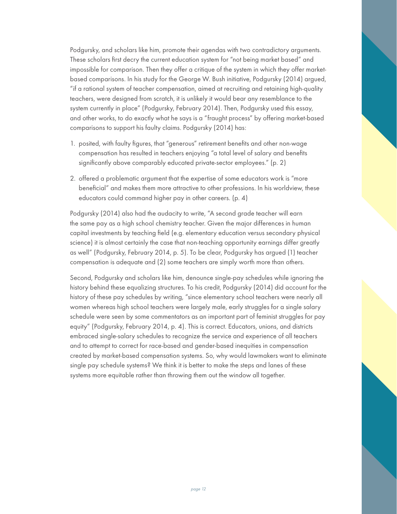Podgursky, and scholars like him, promote their agendas with two contradictory arguments. These scholars first decry the current education system for "not being market based" and impossible for comparison. Then they offer a critique of the system in which they offer marketbased comparisons. In his study for the George W. Bush initiative, Podgursky (2014) argued, "if a rational system of teacher compensation, aimed at recruiting and retaining high-quality teachers, were designed from scratch, it is unlikely it would bear any resemblance to the system currently in place" (Podgursky, February 2014). Then, Podgursky used this essay, and other works, to do exactly what he says is a "fraught process" by offering market-based comparisons to support his faulty claims. Podgursky (2014) has:

- 1. posited, with faulty figures, that "generous" retirement benefits and other non-wage compensation has resulted in teachers enjoying "a total level of salary and benefits significantly above comparably educated private-sector employees." (p. 2)
- 2. offered a problematic argument that the expertise of some educators work is "more beneficial" and makes them more attractive to other professions. In his worldview, these educators could command higher pay in other careers. (p. 4)

Podgursky (2014) also had the audacity to write, "A second grade teacher will earn the same pay as a high school chemistry teacher. Given the major differences in human capital investments by teaching field (e.g. elementary education versus secondary physical science) it is almost certainly the case that non-teaching opportunity earnings differ greatly as well" (Podgursky, February 2014, p. 5). To be clear, Podgursky has argued (1) teacher compensation is adequate and (2) some teachers are simply worth more than others.

Second, Podgursky and scholars like him, denounce single-pay schedules while ignoring the history behind these equalizing structures. To his credit, Podgursky (2014) did account for the history of these pay schedules by writing, "since elementary school teachers were nearly all women whereas high school teachers were largely male, early struggles for a single salary schedule were seen by some commentators as an important part of feminist struggles for pay equity" (Podgursky, February 2014, p. 4). This is correct. Educators, unions, and districts embraced single-salary schedules to recognize the service and experience of all teachers and to attempt to correct for race-based and gender-based inequities in compensation created by market-based compensation systems. So, why would lawmakers want to eliminate single pay schedule systems? We think it is better to make the steps and lanes of these systems more equitable rather than throwing them out the window all together.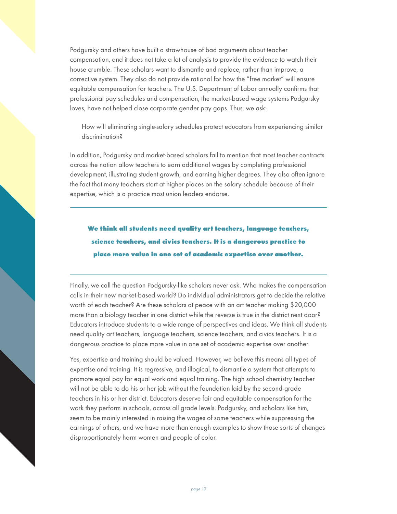Podgursky and others have built a strawhouse of bad arguments about teacher compensation, and it does not take a lot of analysis to provide the evidence to watch their house crumble. These scholars want to dismantle and replace, rather than improve, a corrective system. They also do not provide rational for how the "free market" will ensure equitable compensation for teachers. The U.S. Department of Labor annually confirms that professional pay schedules and compensation, the market-based wage systems Podgursky loves, have not helped close corporate gender pay gaps. Thus, we ask:

How will eliminating single-salary schedules protect educators from experiencing similar discrimination?

In addition, Podgursky and market-based scholars fail to mention that most teacher contracts across the nation allow teachers to earn additional wages by completing professional development, illustrating student growth, and earning higher degrees. They also often ignore the fact that many teachers start at higher places on the salary schedule because of their expertise, which is a practice most union leaders endorse.

**We think all students need quality art teachers, language teachers, science teachers, and civics teachers. It is a dangerous practice to place more value in one set of academic expertise over another.**

Finally, we call the question Podgursky-like scholars never ask. Who makes the compensation calls in their new market-based world? Do individual administrators get to decide the relative worth of each teacher? Are these scholars at peace with an art teacher making \$20,000 more than a biology teacher in one district while the reverse is true in the district next door? Educators introduce students to a wide range of perspectives and ideas. We think all students need quality art teachers, language teachers, science teachers, and civics teachers. It is a dangerous practice to place more value in one set of academic expertise over another.

Yes, expertise and training should be valued. However, we believe this means all types of expertise and training. It is regressive, and illogical, to dismantle a system that attempts to promote equal pay for equal work and equal training. The high school chemistry teacher will not be able to do his or her job without the foundation laid by the second-grade teachers in his or her district. Educators deserve fair and equitable compensation for the work they perform in schools, across all grade levels. Podgursky, and scholars like him, seem to be mainly interested in raising the wages of some teachers while suppressing the earnings of others, and we have more than enough examples to show those sorts of changes disproportionately harm women and people of color.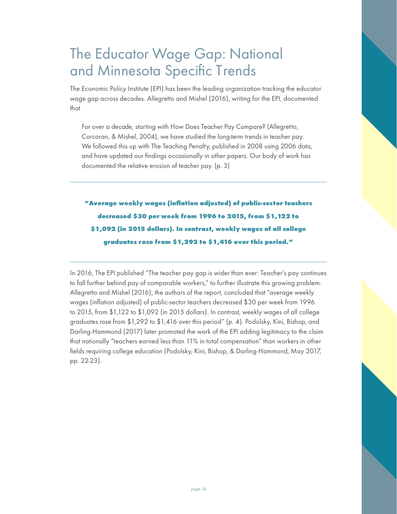## The Educator Wage Gap: National and Minnesota Specific Trends

The Economic Policy Institute (EPI) has been the leading organization tracking the educator wage gap across decades. Allegretto and Mishel (2016), writing for the EPI, documented that

For over a decade, starting with How Does Teacher Pay Compare? (Allegretto, Corcoran, & Mishel, 2004), we have studied the long-term trends in teacher pay. We followed this up with The Teaching Penalty, published in 2008 using 2006 data, and have updated our findings occasionally in other papers. Our body of work has documented the relative erosion of teacher pay. (p. 3)

**"Average weekly wages (inflation adjusted) of public-sector teachers decreased \$30 per week from 1996 to 2015, from \$1,122 to \$1,092 (in 2015 dollars). In contrast, weekly wages of all college graduates rose from \$1,292 to \$1,416 over this period."**

In 2016, The EPI published "The teacher pay gap is wider than ever: Teacher's pay continues to fall further behind pay of comparable workers," to further illustrate this growing problem. Allegretto and Mishel (2016), the authors of the report, concluded that "average weekly wages (inflation adjusted) of public-sector teachers decreased \$30 per week from 1996 to 2015, from \$1,122 to \$1,092 (in 2015 dollars). In contrast, weekly wages of all college graduates rose from \$1,292 to \$1,416 over this period" (p. 4). Podolsky, Kini, Bishop, and Darling-Hammond (2017) later promoted the work of the EPI adding legitimacy to the claim that nationally "teachers earned less than 11% in total compensation" than workers in other fields requiring college education (Podolsky, Kini, Bishop, & Darling-Hammond, May 2017, pp. 22-23).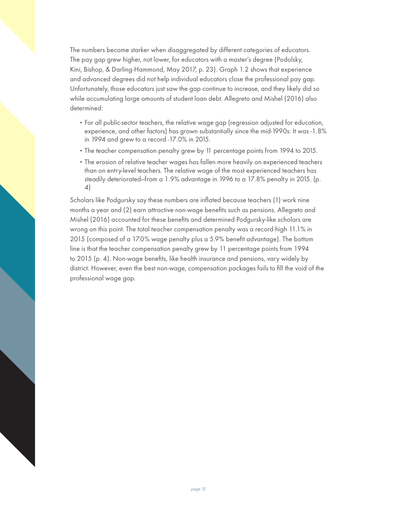The numbers become starker when disaggregated by different categories of educators. The pay gap grew higher, not lower, for educators with a master's degree (Podolsky, Kini, Bishop, & Darling-Hammond, May 2017, p. 23). Graph 1.2 shows that experience and advanced degrees did not help individual educators close the professional pay gap. Unfortunately, those educators just saw the gap continue to increase, and they likely did so while accumulating large amounts of student loan debt. Allegreto and Mishel (2016) also determined:

- •For all public-sector teachers, the relative wage gap (regression adjusted for education, experience, and other factors) has grown substantially since the mid-1990s: It was -1.8% in 1994 and grew to a record -17.0% in 2015.
- •The teacher compensation penalty grew by 11 percentage points from 1994 to 2015.
- •The erosion of relative teacher wages has fallen more heavily on experienced teachers than on entry-level teachers. The relative wage of the most experienced teachers has steadily deteriorated—from a 1.9% advantage in 1996 to a 17.8% penalty in 2015. (p. 4)

Scholars like Podgursky say these numbers are inflated because teachers (1) work nine months a year and (2) earn attractive non-wage benefits such as pensions. Allegreto and Mishel (2016) accounted for these benefits and determined Podgursky-like scholars are wrong on this point. The total teacher compensation penalty was a record-high 11.1% in 2015 (composed of a 17.0% wage penalty plus a 5.9% benefit advantage). The bottom line is that the teacher compensation penalty grew by 11 percentage points from 1994 to 2015 (p. 4). Non-wage benefits, like health insurance and pensions, vary widely by district. However, even the best non-wage, compensation packages fails to fill the void of the professional wage gap.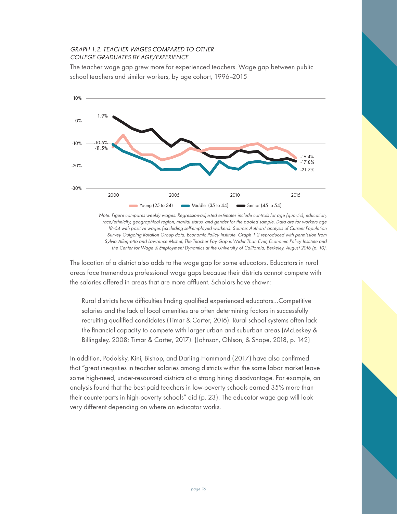### GRAPH 1.2: TEACHER WAGES COMPARED TO OTHER COLLEGE GRADUATES BY AGE/EXPERIENCE

The teacher wage gap grew more for experienced teachers. Wage gap between public school teachers and similar workers, by age cohort, 1996–2015



Note: Figure compares weekly wages. Regression-adjusted estimates include controls for age (quartic), education, race/ethnicity, geographical region, marital status, and gender for the pooled sample. Data are for workers age 18–64 with positive wages (excluding self-employed workers). Source: Authors' analysis of Current Population Survey Outgoing Rotation Group data. Economic Policy Institute. Graph 1.2 reproduced with permission from Sylvia Allegretto and Lawrence Mishel, The Teacher Pay Gap is Wider Than Ever, Economic Policy Institute and the Center for Wage & Employment Dynamics at the University of California, Berkeley, August 2016 (p. 10).

The location of a district also adds to the wage gap for some educators. Educators in rural areas face tremendous professional wage gaps because their districts cannot compete with the salaries offered in areas that are more affluent. Scholars have shown:

Rural districts have difficulties finding qualified experienced educators…Competitive salaries and the lack of local amenities are often determining factors in successfully recruiting qualified candidates (Timar & Carter, 2016). Rural school systems often lack the financial capacity to compete with larger urban and suburban areas (McLeskey & Billingsley, 2008; Timar & Carter, 2017). (Johnson, Ohlson, & Shope, 2018, p. 142)

In addition, Podolsky, Kini, Bishop, and Darling-Hammond (2017) have also confirmed that "great inequities in teacher salaries among districts within the same labor market leave some high-need, under-resourced districts at a strong hiring disadvantage. For example, an analysis found that the best-paid teachers in low-poverty schools earned 35% more than their counterparts in high-poverty schools" did (p. 23). The educator wage gap will look very different depending on where an educator works.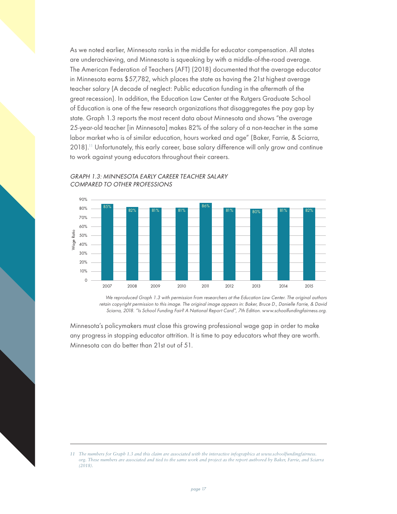As we noted earlier, Minnesota ranks in the middle for educator compensation. All states are underachieving, and Minnesota is squeaking by with a middle-of-the-road average. The American Federation of Teachers (AFT) (2018) documented that the average educator in Minnesota earns \$57,782, which places the state as having the 21st highest average teacher salary (A decade of neglect: Public education funding in the aftermath of the great recession). In addition, the Education Law Center at the Rutgers Graduate School of Education is one of the few research organizations that disaggregates the pay gap by state. Graph 1.3 reports the most recent data about Minnesota and shows "the average 25-year-old teacher [in Minnesota] makes 82% of the salary of a non-teacher in the same labor market who is of similar education, hours worked and age" (Baker, Farrie, & Sciarra,  $2018$ .<sup>11</sup> Unfortunately, this early career, base salary difference will only grow and continue to work against young educators throughout their careers.



GRAPH 1.3: MINNESOTA EARLY CAREER TEACHER SALARY COMPARED TO OTHER PROFESSIONS

> We reproduced Graph 1.3 with permission from researchers at the Education Law Center. The original authors retain copyright permission to this image. The original image appears in: Baker, Bruce D., Danielle Farrie, & David Sciarra, 2018. "Is School Funding Fair? A National Report Card", 7th Edition. www.schoolfundingfairness.org.

Minnesota's policymakers must close this growing professional wage gap in order to make any progress in stopping educator attrition. It is time to pay educators what they are worth. Minnesota can do better than 21st out of 51.

*<sup>11</sup> The numbers for Graph 1.3 and this claim are associated with the interactive infographics at www.schoolfundingfairness. org. These numbers are associated and tied to the same work and project as the report authored by Baker, Farrie, and Sciarra (2018).*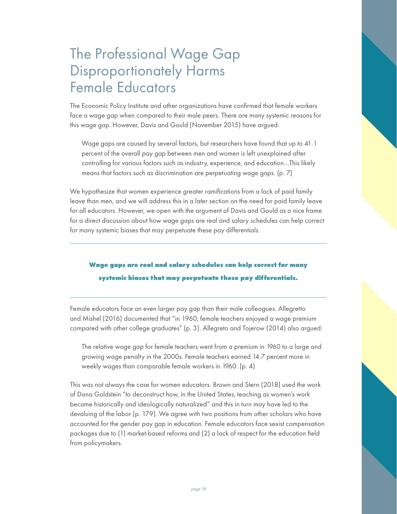## The Professional Wage Gap Disproportionately Harms Female Educators

The Economic Policy Institute and other organizations have confirmed that female workers face a wage gap when compared to their male peers. There are many systemic reasons for this wage gap. However, Davis and Gould (November 2015) have argued:

Wage gaps are caused by several factors, but researchers have found that up to 41.1 percent of the overall pay gap between men and women is left unexplained after controlling for various factors such as industry, experience, and education…This likely means that factors such as discrimination are perpetuating wage gaps. (p. 7)

We hypothesize that women experience greater ramifications from a lack of paid family leave than men, and we will address this in a later section on the need for paid family leave for all educators. However, we open with the argument of Davis and Gould as a nice frame for a direct discussion about how wage gaps are real and salary schedules can help correct for many systemic biases that may perpetuate these pay differentials.

### **Wage gaps are real and salary schedules can help correct for many systemic biases that may perpetuate these pay differentials.**

Female educators face an even larger pay gap than their male colleagues. Allegretto and Mishel (2016) documented that "in 1960, female teachers enjoyed a wage premium compared with other college graduates" (p. 3). Allegreto and Tojerow (2014) also argued:

The relative wage gap for female teachers went from a premium in 1960 to a large and growing wage penalty in the 2000s. Female teachers earned 14.7 percent more in weekly wages than comparable female workers in 1960. (p. 4)

This was not always the case for women educators. Brown and Stern (2018) used the work of Dana Goldstein "to deconstruct how, in the United States, teaching as women's work became historically and ideologically naturalized" and this in turn may have led to the devaluing of the labor (p. 179). We agree with two positions from other scholars who have accounted for the gender pay gap in education. Female educators face sexist compensation packages due to (1) market-based reforms and (2) a lack of respect for the education field from policymakers.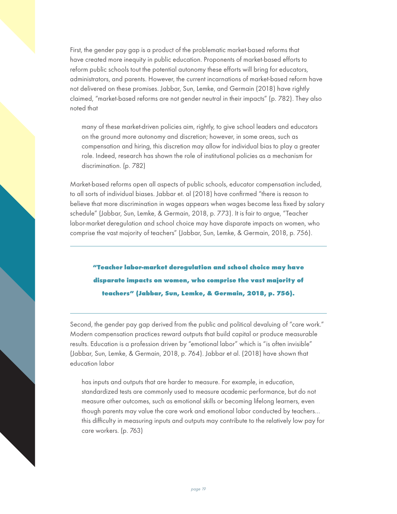First, the gender pay gap is a product of the problematic market-based reforms that have created more inequity in public education. Proponents of market-based efforts to reform public schools tout the potential autonomy these efforts will bring for educators, administrators, and parents. However, the current incarnations of market-based reform have not delivered on these promises. Jabbar, Sun, Lemke, and Germain (2018) have rightly claimed, "market-based reforms are not gender neutral in their impacts" (p. 782). They also noted that

many of these market-driven policies aim, rightly, to give school leaders and educators on the ground more autonomy and discretion; however, in some areas, such as compensation and hiring, this discretion may allow for individual bias to play a greater role. Indeed, research has shown the role of institutional policies as a mechanism for discrimination. (p. 782)

Market-based reforms open all aspects of public schools, educator compensation included, to all sorts of individual biases. Jabbar et. al (2018) have confirmed "there is reason to believe that more discrimination in wages appears when wages become less fixed by salary schedule" (Jabbar, Sun, Lemke, & Germain, 2018, p. 773). It is fair to argue, "Teacher labor-market deregulation and school choice may have disparate impacts on women, who comprise the vast majority of teachers" (Jabbar, Sun, Lemke, & Germain, 2018, p. 756).

**"Teacher labor-market deregulation and school choice may have disparate impacts on women, who comprise the vast majority of teachers" (Jabbar, Sun, Lemke, & Germain, 2018, p. 756).**

Second, the gender pay gap derived from the public and political devaluing of "care work." Modern compensation practices reward outputs that build capital or produce measurable results. Education is a profession driven by "emotional labor" which is "is often invisible" (Jabbar, Sun, Lemke, & Germain, 2018, p. 764). Jabbar et al. (2018) have shown that education labor

has inputs and outputs that are harder to measure. For example, in education, standardized tests are commonly used to measure academic performance, but do not measure other outcomes, such as emotional skills or becoming lifelong learners, even though parents may value the care work and emotional labor conducted by teachers… this difficulty in measuring inputs and outputs may contribute to the relatively low pay for care workers. (p. 763)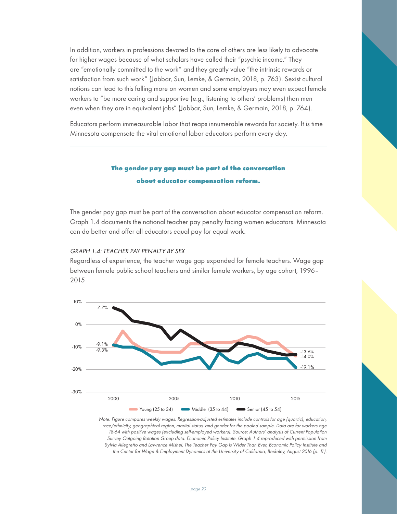In addition, workers in professions devoted to the care of others are less likely to advocate for higher wages because of what scholars have called their "psychic income." They are "emotionally committed to the work" and they greatly value "the intrinsic rewards or satisfaction from such work" (Jabbar, Sun, Lemke, & Germain, 2018, p. 763). Sexist cultural notions can lead to this falling more on women and some employers may even expect female workers to "be more caring and supportive (e.g., listening to others' problems) than men even when they are in equivalent jobs" (Jabbar, Sun, Lemke, & Germain, 2018, p. 764).

Educators perform immeasurable labor that reaps innumerable rewards for society. It is time Minnesota compensate the vital emotional labor educators perform every day.

### **The gender pay gap must be part of the conversation**

#### **about educator compensation reform.**

The gender pay gap must be part of the conversation about educator compensation reform. Graph 1.4 documents the national teacher pay penalty facing women educators. Minnesota can do better and offer all educators equal pay for equal work.

#### GRAPH 1.4: TEACHER PAY PENALTY BY SEX

Regardless of experience, the teacher wage gap expanded for female teachers. Wage gap between female public school teachers and similar female workers, by age cohort, 1996– 2015



Note: Figure compares weekly wages. Regression-adjusted estimates include controls for age (quartic), education, race/ethnicity, geographical region, marital status, and gender for the pooled sample. Data are for workers age 18-64 with positive wages (excluding self-employed workers). Source: Authors' analysis of Current Population Survey Outgoing Rotation Group data. Economic Policy Institute. Graph 1.4 reproduced with permission from Sylvia Allegretto and Lawrence Mishel, The Teacher Pay Gap is Wider Than Ever, Economic Policy Institute and the Center for Wage & Employment Dynamics at the University of California, Berkeley, August 2016 (p. 11).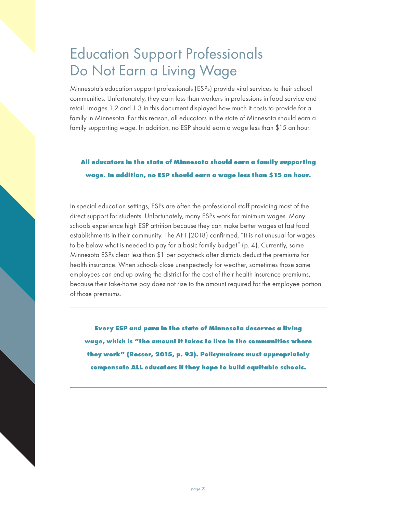## Education Support Professionals Do Not Earn a Living Wage

Minnesota's education support professionals (ESPs) provide vital services to their school communities. Unfortunately, they earn less than workers in professions in food service and retail. Images 1.2 and 1.3 in this document displayed how much it costs to provide for a family in Minnesota. For this reason, all educators in the state of Minnesota should earn a family supporting wage. In addition, no ESP should earn a wage less than \$15 an hour.

### **All educators in the state of Minnesota should earn a family supporting wage. In addition, no ESP should earn a wage less than \$15 an hour.**

In special education settings, ESPs are often the professional staff providing most of the direct support for students. Unfortunately, many ESPs work for minimum wages. Many schools experience high ESP attrition because they can make better wages at fast food establishments in their community. The AFT (2018) confirmed, "It is not unusual for wages to be below what is needed to pay for a basic family budget" (p. 4). Currently, some Minnesota ESPs clear less than \$1 per paycheck after districts deduct the premiums for health insurance. When schools close unexpectedly for weather, sometimes those same employees can end up owing the district for the cost of their health insurance premiums, because their take-home pay does not rise to the amount required for the employee portion of those premiums.

**Every ESP and para in the state of Minnesota deserves a living wage, which is "the amount it takes to live in the communities where they work" (Rosser, 2015, p. 93). Policymakers must appropriately compensate ALL educators if they hope to build equitable schools.**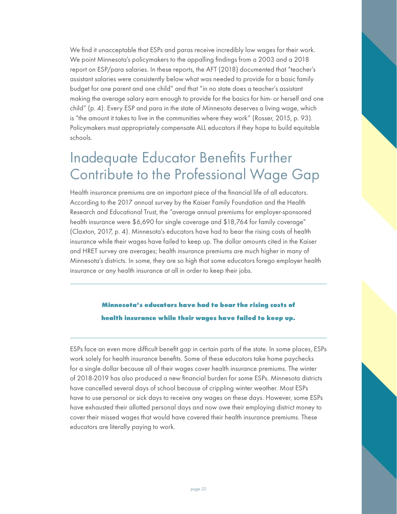We find it unacceptable that ESPs and paras receive incredibly low wages for their work. We point Minnesota's policymakers to the appalling findings from a 2003 and a 2018 report on ESP/para salaries. In these reports, the AFT (2018) documented that "teacher's assistant salaries were consistently below what was needed to provide for a basic family budget for one parent and one child" and that "in no state does a teacher's assistant making the average salary earn enough to provide for the basics for him- or herself and one child" (p. 4). Every ESP and para in the state of Minnesota deserves a living wage, which is "the amount it takes to live in the communities where they work" (Rosser, 2015, p. 93). Policymakers must appropriately compensate ALL educators if they hope to build equitable schools.

## Inadequate Educator Benefits Further Contribute to the Professional Wage Gap

Health insurance premiums are an important piece of the financial life of all educators. According to the 2017 annual survey by the Kaiser Family Foundation and the Health Research and Educational Trust, the "average annual premiums for employer-sponsored health insurance were \$6,690 for single coverage and \$18,764 for family coverage" (Claxton, 2017, p. 4). Minnesota's educators have had to bear the rising costs of health insurance while their wages have failed to keep up. The dollar amounts cited in the Kaiser and HRET survey are averages; health insurance premiums are much higher in many of Minnesota's districts. In some, they are so high that some educators forego employer health insurance or any health insurance at all in order to keep their jobs.

### **Minnesota's educators have had to bear the rising costs of health insurance while their wages have failed to keep up.**

ESPs face an even more difficult benefit gap in certain parts of the state. In some places, ESPs work solely for health insurance benefits. Some of these educators take home paychecks for a single dollar because all of their wages cover health insurance premiums. The winter of 2018-2019 has also produced a new financial burden for some ESPs. Minnesota districts have cancelled several days of school because of crippling winter weather. Most ESPs have to use personal or sick days to receive any wages on these days. However, some ESPs have exhausted their allotted personal days and now owe their employing district money to cover their missed wages that would have covered their health insurance premiums. These educators are literally paying to work.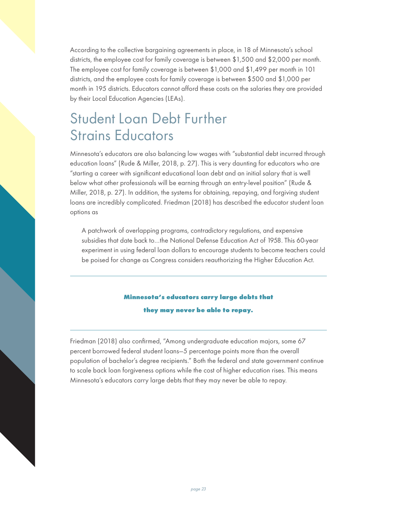According to the collective bargaining agreements in place, in 18 of Minnesota's school districts, the employee cost for family coverage is between \$1,500 and \$2,000 per month. The employee cost for family coverage is between \$1,000 and \$1,499 per month in 101 districts, and the employee costs for family coverage is between \$500 and \$1,000 per month in 195 districts. Educators cannot afford these costs on the salaries they are provided by their Local Education Agencies (LEAs).

## Student Loan Debt Further Strains Educators

Minnesota's educators are also balancing low wages with "substantial debt incurred through education loans" (Rude & Miller, 2018, p. 27). This is very daunting for educators who are "starting a career with significant educational loan debt and an initial salary that is well below what other professionals will be earning through an entry-level position" (Rude & Miller, 2018, p. 27). In addition, the systems for obtaining, repaying, and forgiving student loans are incredibly complicated. Friedman (2018) has described the educator student loan options as

A patchwork of overlapping programs, contradictory regulations, and expensive subsidies that date back to…the National Defense Education Act of 1958. This 60-year experiment in using federal loan dollars to encourage students to become teachers could be poised for change as Congress considers reauthorizing the Higher Education Act.

#### **Minnesota's educators carry large debts that**

#### **they may never be able to repay.**

Friedman (2018) also confirmed, "Among undergraduate education majors, some 67 percent borrowed federal student loans—5 percentage points more than the overall population of bachelor's degree recipients." Both the federal and state government continue to scale back loan forgiveness options while the cost of higher education rises. This means Minnesota's educators carry large debts that they may never be able to repay.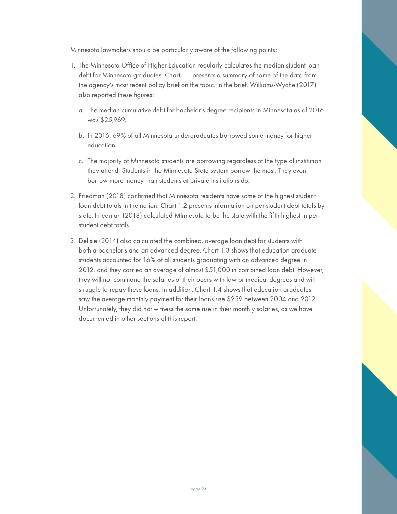Minnesota lawmakers should be particularly aware of the following points:

- 1. The Minnesota Office of Higher Education regularly calculates the median student loan debt for Minnesota graduates. Chart 1.1 presents a summary of some of the data from the agency's most recent policy brief on the topic. In the brief, Williams-Wyche (2017) also reported these figures:
	- a. The median cumulative debt for bachelor's degree recipients in Minnesota as of 2016 was \$25,969.
	- b. In 2016, 69% of all Minnesota undergraduates borrowed some money for higher education.
	- c. The majority of Minnesota students are borrowing regardless of the type of institution they attend. Students in the Minnesota State system borrow the most. They even borrow more money than students at private institutions do.
- 2. Friedman (2018) confirmed that Minnesota residents have some of the highest student loan debt totals in the nation. Chart 1.2 presents information on per-student debt totals by state. Friedman (2018) calculated Minnesota to be the state with the fifth highest in perstudent debt totals.
- 3. Delisle (2014) also calculated the combined, average loan debt for students with both a bachelor's and an advanced degree. Chart 1.3 shows that education graduate students accounted for 16% of all students graduating with an advanced degree in 2012, and they carried an average of almost \$51,000 in combined loan debt. However, they will not command the salaries of their peers with law or medical degrees and will struggle to repay these loans. In addition, Chart 1.4 shows that education graduates saw the average monthly payment for their loans rise \$259 between 2004 and 2012. Unfortunately, they did not witness the same rise in their monthly salaries, as we have documented in other sections of this report.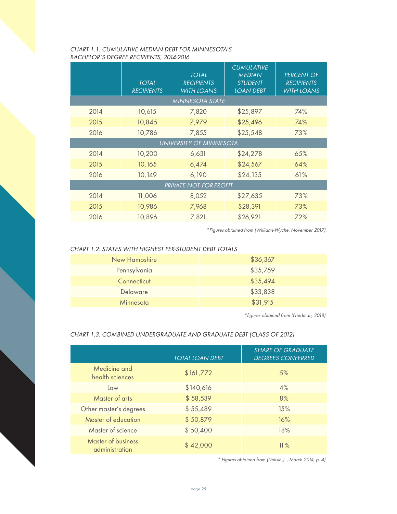#### CHART 1.1: CUMULATIVE MEDIAN DEBT FOR MINNESOTA'S BACHELOR'S DEGREE RECIPIENTS, 2014-2016

|                               | <b>TOTAL</b><br><b>RECIPIENTS</b> | <b>TOTAL</b><br><b>RECIPIENTS</b><br><b>WITH LOANS</b> | <b>CUMULATIVE</b><br><b>MEDIAN</b><br><b>STUDENT</b><br><b>LOAN DEBT</b> | <b>PERCENT OF</b><br><b>RECIPIENTS</b><br><b>WITH LOANS</b> |
|-------------------------------|-----------------------------------|--------------------------------------------------------|--------------------------------------------------------------------------|-------------------------------------------------------------|
|                               |                                   | <b>MINNESOTA STATE</b>                                 |                                                                          |                                                             |
| 2014                          | 10,615                            | 7,820                                                  | \$25,897                                                                 | 74%                                                         |
| 2015                          | 10,845                            | 7,979                                                  | \$25,496                                                                 | 74%                                                         |
| 2016                          | 10,786                            | 7,855                                                  | \$25,548                                                                 | 73%                                                         |
|                               |                                   | UNIVERSITY OF MINNESOTA                                |                                                                          |                                                             |
| 2014                          | 10,200                            | 6,631                                                  | \$24,278                                                                 | 65%                                                         |
| 2015                          | 10,165                            | 6,474                                                  | \$24,567                                                                 | 64%                                                         |
| 2016                          | 10,149                            | 6,190                                                  | \$24,135                                                                 | 61%                                                         |
| <b>PRIVATE NOT-FOR-PROFIT</b> |                                   |                                                        |                                                                          |                                                             |
| 2014                          | 11,006                            | 8,052                                                  | \$27,635                                                                 | 73%                                                         |
| 2015                          | 10,986                            | 7,968                                                  | \$28,391                                                                 | 73%                                                         |
| 2016                          | 10,896                            | 7,821                                                  | \$26,921                                                                 | 72%                                                         |

\*Figures obtained from (Williams-Wyche, November 2017).

#### CHART 1.2: STATES WITH HIGHEST PER-STUDENT DEBT TOTALS

| New Hampshire | \$36,367 |
|---------------|----------|
| Pennsylvania  | \$35,759 |
| Connecticut   | \$35,494 |
| Delaware      | \$33,838 |
| Minnesota     | \$31,915 |
|               |          |

\*figures obtained from (Friedman, 2018).

#### CHART 1.3: COMBINED UNDERGRADUATE AND GRADUATE DEBT (CLASS OF 2012)

|                                             | <b>TOTAL LOAN DEBT</b> | <b>SHARE OF GRADUATE</b><br><b>DEGREES CONFERRED</b> |
|---------------------------------------------|------------------------|------------------------------------------------------|
| Medicine and<br>health sciences             | \$161,772              | 5%                                                   |
| Law                                         | \$140,616              | 4%                                                   |
| Master of arts                              | \$58,539               | 8%                                                   |
| Other master's degrees                      | \$55,489               | 15%                                                  |
| Master of education                         | \$50,879               | 16%                                                  |
| Master of science                           | \$50,400               | 18%                                                  |
| <b>Master of business</b><br>administration | \$42,000               | 11%                                                  |

\* Figures obtained from (Delisle J. , March 2014, p. 4).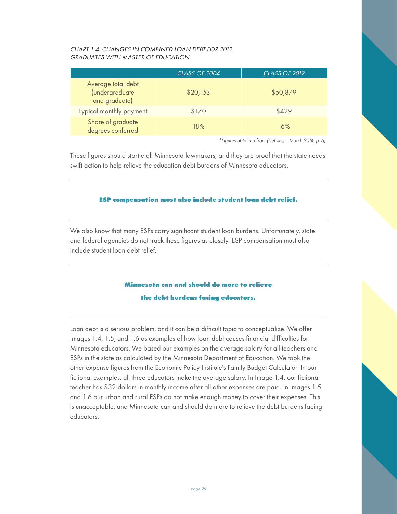#### CHART 1.4: CHANGES IN COMBINED LOAN DEBT FOR 2012 GRADUATES WITH MASTER OF EDUCATION

|                                                       | <b>CLASS OF 2004</b> | <b>CLASS OF 2012</b> |
|-------------------------------------------------------|----------------------|----------------------|
| Average total debt<br>(undergraduate<br>and graduate) | \$20,153             | \$50,879             |
| Typical monthly payment                               | \$170                | \$429                |
| Share of graduate<br>degrees conferred                | 18%                  | 16%                  |

\*Figures obtained from (Delisle J. , March 2014, p. 6).

These figures should startle all Minnesota lawmakers, and they are proof that the state needs swift action to help relieve the education debt burdens of Minnesota educators.

#### **ESP compensation must also include student loan debt relief.**

We also know that many ESPs carry significant student loan burdens. Unfortunately, state and federal agencies do not track these figures as closely. ESP compensation must also include student loan debt relief.

### **Minnesota can and should do more to relieve**

#### **the debt burdens facing educators.**

Loan debt is a serious problem, and it can be a difficult topic to conceptualize. We offer Images 1.4, 1.5, and 1.6 as examples of how loan debt causes financial difficulties for Minnesota educators. We based our examples on the average salary for all teachers and ESPs in the state as calculated by the Minnesota Department of Education. We took the other expense figures from the Economic Policy Institute's Family Budget Calculator. In our fictional examples, all three educators make the average salary. In Image 1.4, our fictional teacher has \$32 dollars in monthly income after all other expenses are paid. In Images 1.5 and 1.6 our urban and rural ESPs do not make enough money to cover their expenses. This is unacceptable, and Minnesota can and should do more to relieve the debt burdens facing educators.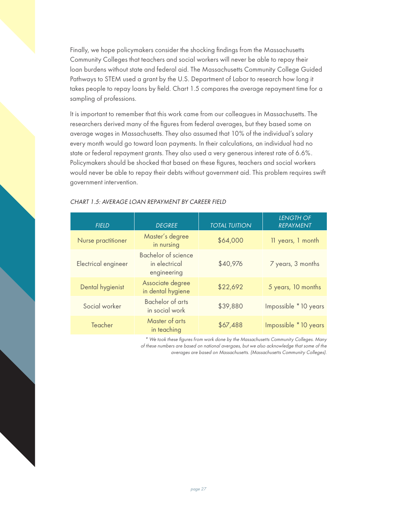Finally, we hope policymakers consider the shocking findings from the Massachusetts Community Colleges that teachers and social workers will never be able to repay their loan burdens without state and federal aid. The Massachusetts Community College Guided Pathways to STEM used a grant by the U.S. Department of Labor to research how long it takes people to repay loans by field. Chart 1.5 compares the average repayment time for a sampling of professions.

It is important to remember that this work came from our colleagues in Massachusetts. The researchers derived many of the figures from federal averages, but they based some on average wages in Massachusetts. They also assumed that 10% of the individual's salary every month would go toward loan payments. In their calculations, an individual had no state or federal repayment grants. They also used a very generous interest rate of 6.6%. Policymakers should be shocked that based on these figures, teachers and social workers would never be able to repay their debts without government aid. This problem requires swift government intervention.

| <b>FIELD</b>        | <b>DEGREE</b>                                       | <b>TOTAL TUITION</b> | <b>LENGTH OF</b><br><b>REPAYMENT</b> |
|---------------------|-----------------------------------------------------|----------------------|--------------------------------------|
| Nurse practitioner  | Master's degree<br>in nursing                       | \$64,000             | 11 years, 1 month                    |
| Electrical engineer | Bachelor of science<br>in electrical<br>engineering | \$40,976             | 7 years, 3 months                    |
| Dental hygienist    | Associate degree<br>in dental hygiene               | \$22,692             | 5 years, 10 months                   |
| Social worker       | <b>Bachelor of arts</b><br>in social work           | \$39,880             | Impossible * 10 years                |
| <b>Teacher</b>      | Master of arts<br>in teaching                       | \$67,488             | Impossible * 10 years                |

#### CHART 1.5: AVERAGE LOAN REPAYMENT BY CAREER FIELD

\* We took these figures from work done by the Massachusetts Community Colleges. Many of these numbers are based on national avergaes, but we also acknowledge that some of the

averages are based on Massachusetts. (Massachusetts Community Colleges).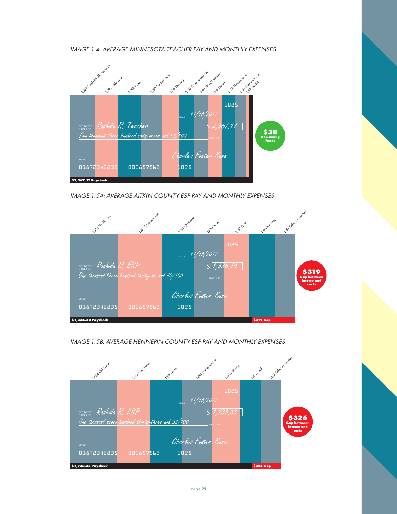#### IMAGE 1.4: AVERAGE MINNESOTA TEACHER PAY AND MONTHLY EXPENSES



IMAGE 1.5A: AVERAGE AITKIN COUNTY ESP PAY AND MONTHLY EXPENSES



#### IMAGE 1.5B: AVERAGE HENNEPIN COUNTY ESP PAY AND MONTHLY EXPENSES

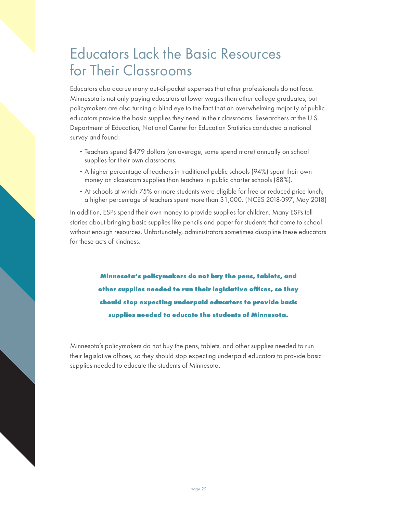## Educators Lack the Basic Resources for Their Classrooms

Educators also accrue many out-of-pocket expenses that other professionals do not face. Minnesota is not only paying educators at lower wages than other college graduates, but policymakers are also turning a blind eye to the fact that an overwhelming majority of public educators provide the basic supplies they need in their classrooms. Researchers at the U.S. Department of Education, National Center for Education Statistics conducted a national survey and found:

- •Teachers spend \$479 dollars (on average, some spend more) annually on school supplies for their own classrooms.
- A higher percentage of teachers in traditional public schools (94%) spent their own money on classroom supplies than teachers in public charter schools (88%).
- At schools at which 75% or more students were eligible for free or reduced-price lunch, a higher percentage of teachers spent more than \$1,000. (NCES 2018-097, May 2018)

In addition, ESPs spend their own money to provide supplies for children. Many ESPs tell stories about bringing basic supplies like pencils and paper for students that come to school without enough resources. Unfortunately, administrators sometimes discipline these educators for these acts of kindness.

> **Minnesota's policymakers do not buy the pens, tablets, and other supplies needed to run their legislative offices, so they should stop expecting underpaid educators to provide basic supplies needed to educate the students of Minnesota.**

Minnesota's policymakers do not buy the pens, tablets, and other supplies needed to run their legislative offices, so they should stop expecting underpaid educators to provide basic supplies needed to educate the students of Minnesota.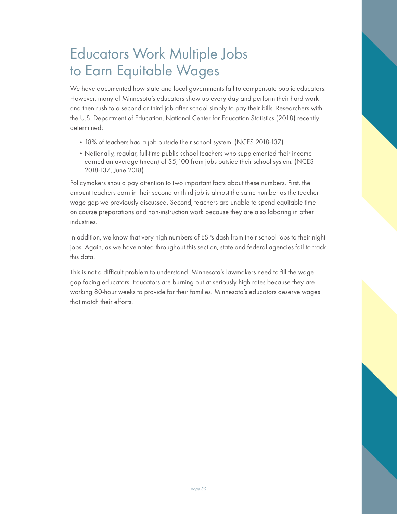## Educators Work Multiple Jobs to Earn Equitable Wages

We have documented how state and local governments fail to compensate public educators. However, many of Minnesota's educators show up every day and perform their hard work and then rush to a second or third job after school simply to pay their bills. Researchers with the U.S. Department of Education, National Center for Education Statistics (2018) recently determined:

- •18% of teachers had a job outside their school system. (NCES 2018-137)
- Nationally, regular, full-time public school teachers who supplemented their income earned an average (mean) of \$5,100 from jobs outside their school system. (NCES 2018-137, June 2018)

Policymakers should pay attention to two important facts about these numbers. First, the amount teachers earn in their second or third job is almost the same number as the teacher wage gap we previously discussed. Second, teachers are unable to spend equitable time on course preparations and non-instruction work because they are also laboring in other industries.

In addition, we know that very high numbers of ESPs dash from their school jobs to their night jobs. Again, as we have noted throughout this section, state and federal agencies fail to track this data.

This is not a difficult problem to understand. Minnesota's lawmakers need to fill the wage gap facing educators. Educators are burning out at seriously high rates because they are working 80-hour weeks to provide for their families. Minnesota's educators deserve wages that match their efforts.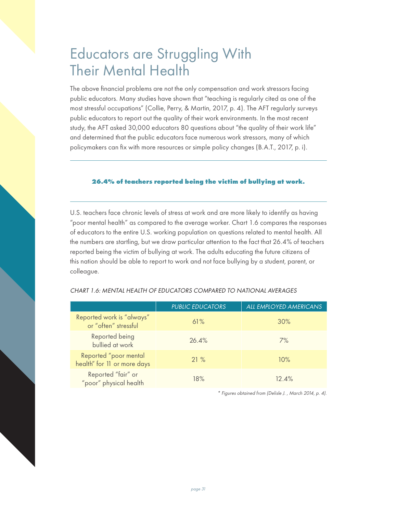## Educators are Struggling With Their Mental Health

The above financial problems are not the only compensation and work stressors facing public educators. Many studies have shown that "teaching is regularly cited as one of the most stressful occupations" (Collie, Perry, & Martin, 2017, p. 4). The AFT regularly surveys public educators to report out the quality of their work environments. In the most recent study, the AFT asked 30,000 educators 80 questions about "the quality of their work life" and determined that the public educators face numerous work stressors, many of which policymakers can fix with more resources or simple policy changes (B.A.T., 2017, p. i).

#### **26.4% of teachers reported being the victim of bullying at work.**

U.S. teachers face chronic levels of stress at work and are more likely to identify as having "poor mental health" as compared to the average worker. Chart 1.6 compares the responses of educators to the entire U.S. working population on questions related to mental health. All the numbers are startling, but we draw particular attention to the fact that 26.4% of teachers reported being the victim of bullying at work. The adults educating the future citizens of this nation should be able to report to work and not face bullying by a student, parent, or colleague.

|                                                      | <b>PUBLIC EDUCATORS</b> | <b>ALL EMPLOYED AMERICANS</b> |
|------------------------------------------------------|-------------------------|-------------------------------|
| Reported work is "always"<br>or "often" stressful    | 61%                     | 30%                           |
| Reported being<br>bullied at work                    | 26.4%                   | 7%                            |
| Reported "poor mental<br>health" for 11 or more days | 21%                     | 10%                           |
| Reported "fair" or<br>"poor" physical health         | 18%                     | 12.4%                         |

#### CHART 1.6: MENTAL HEALTH OF EDUCATORS COMPARED TO NATIONAL AVERAGES

\* Figures obtained from (Delisle J. , March 2014, p. 4).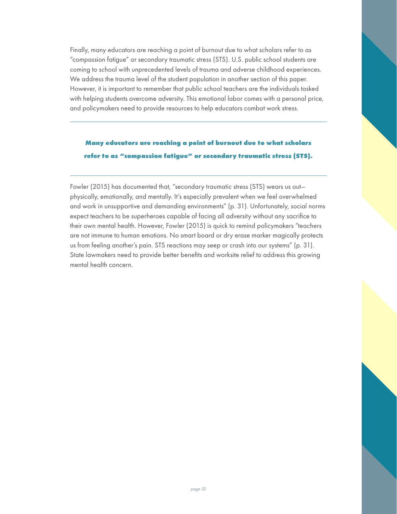Finally, many educators are reaching a point of burnout due to what scholars refer to as "compassion fatigue" or secondary traumatic stress (STS). U.S. public school students are coming to school with unprecedented levels of trauma and adverse childhood experiences. We address the trauma level of the student population in another section of this paper. However, it is important to remember that public school teachers are the individuals tasked with helping students overcome adversity. This emotional labor comes with a personal price, and policymakers need to provide resources to help educators combat work stress.

### **Many educators are reaching a point of burnout due to what scholars refer to as "compassion fatigue" or secondary traumatic stress (STS).**

Fowler (2015) has documented that, "secondary traumatic stress (STS) wears us out physically, emotionally, and mentally. It's especially prevalent when we feel overwhelmed and work in unsupportive and demanding environments" (p. 31). Unfortunately, social norms expect teachers to be superheroes capable of facing all adversity without any sacrifice to their own mental health. However, Fowler (2015) is quick to remind policymakers "teachers are not immune to human emotions. No smart board or dry erase marker magically protects us from feeling another's pain. STS reactions may seep or crash into our systems" (p. 31). State lawmakers need to provide better benefits and worksite relief to address this growing mental health concern.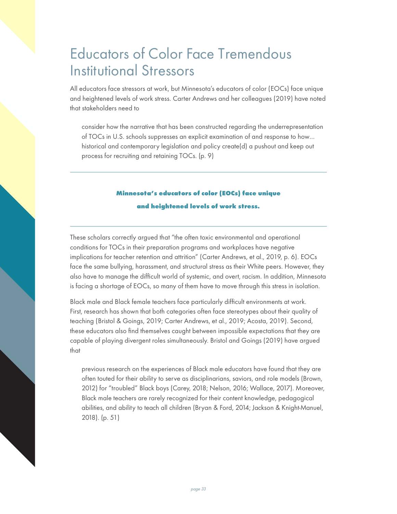## Educators of Color Face Tremendous Institutional Stressors

All educators face stressors at work, but Minnesota's educators of color (EOCs) face unique and heightened levels of work stress. Carter Andrews and her colleagues (2019) have noted that stakeholders need to

consider how the narrative that has been constructed regarding the underrepresentation of TOCs in U.S. schools suppresses an explicit examination of and response to how… historical and contemporary legislation and policy create(d) a pushout and keep out process for recruiting and retaining TOCs. (p. 9)

### **Minnesota's educators of color (EOCs) face unique**

**and heightened levels of work stress.**

These scholars correctly argued that "the often toxic environmental and operational conditions for TOCs in their preparation programs and workplaces have negative implications for teacher retention and attrition" (Carter Andrews, et al., 2019, p. 6). EOCs face the same bullying, harassment, and structural stress as their White peers. However, they also have to manage the difficult world of systemic, and overt, racism. In addition, Minnesota is facing a shortage of EOCs, so many of them have to move through this stress in isolation.

Black male and Black female teachers face particularly difficult environments at work. First, research has shown that both categories often face stereotypes about their quality of teaching (Bristol & Goings, 2019; Carter Andrews, et al., 2019; Acosta, 2019). Second, these educators also find themselves caught between impossible expectations that they are capable of playing divergent roles simultaneously. Bristol and Goings (2019) have argued that

previous research on the experiences of Black male educators have found that they are often touted for their ability to serve as disciplinarians, saviors, and role models (Brown, 2012) for "troubled" Black boys (Carey, 2018; Nelson, 2016; Wallace, 2017). Moreover, Black male teachers are rarely recognized for their content knowledge, pedagogical abilities, and ability to teach all children (Bryan & Ford, 2014; Jackson & Knight-Manuel, 2018). (p. 51)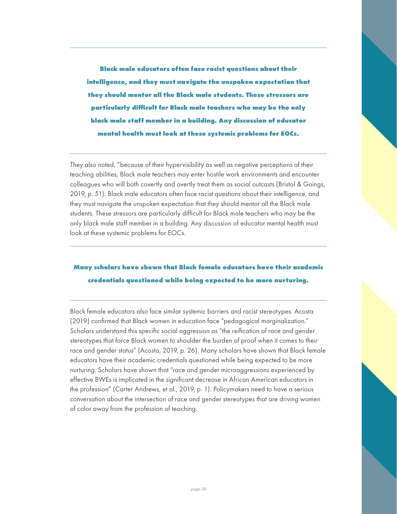**Black male educators often face racist questions about their intelligence, and they must navigate the unspoken expectation that they should mentor all the Black male students. These stressors are particularly difficult for Black male teachers who may be the only black male staff member in a building. Any discussion of educator mental health must look at these systemic problems for EOCs.**

They also noted, "because of their hypervisibility as well as negative perceptions of their teaching abilities, Black male teachers may enter hostile work environments and encounter colleagues who will both covertly and overtly treat them as social outcasts (Bristol & Goings, 2019, p. 51). Black male educators often face racist questions about their intelligence, and they must navigate the unspoken expectation that they should mentor all the Black male students. These stressors are particularly difficult for Black male teachers who may be the only black male staff member in a building. Any discussion of educator mental health must look at these systemic problems for EOCs.

### **Many scholars have shown that Black female educators have their academic credentials questioned while being expected to be more nurturing.**

Black female educators also face similar systemic barriers and racist stereotypes. Acosta (2019) confirmed that Black women in education face "pedagogical marginalization." Scholars understand this specific social aggression as "the reification of race and gender stereotypes that force Black women to shoulder the burden of proof when it comes to their race and gender status" (Acosta, 2019, p. 26). Many scholars have shown that Black female educators have their academic credentials questioned while being expected to be more nurturing. Scholars have shown that "race and gender microaggressions experienced by effective BWEs is implicated in the significant decrease in African American educators in the profession" (Carter Andrews, et al., 2019, p. 1). Policymakers need to have a serious conversation about the intersection of race and gender stereotypes that are driving women of color away from the profession of teaching.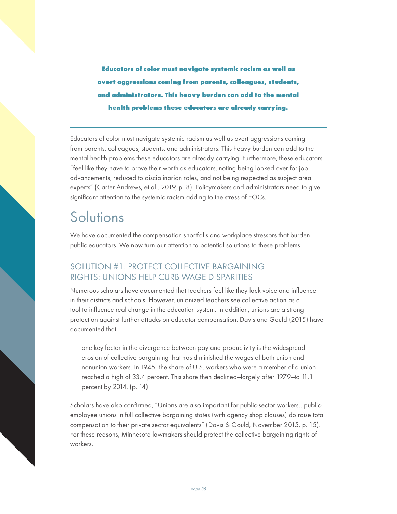**Educators of color must navigate systemic racism as well as overt aggressions coming from parents, colleagues, students, and administrators. This heavy burden can add to the mental health problems these educators are already carrying.**

Educators of color must navigate systemic racism as well as overt aggressions coming from parents, colleagues, students, and administrators. This heavy burden can add to the mental health problems these educators are already carrying. Furthermore, these educators "feel like they have to prove their worth as educators, noting being looked over for job advancements, reduced to disciplinarian roles, and not being respected as subject area experts" (Carter Andrews, et al., 2019, p. 8). Policymakers and administrators need to give significant attention to the systemic racism adding to the stress of EOCs.

## **Solutions**

We have documented the compensation shortfalls and workplace stressors that burden public educators. We now turn our attention to potential solutions to these problems.

### SOLUTION #1: PROTECT COLLECTIVE BARGAINING RIGHTS: UNIONS HELP CURB WAGE DISPARITIES

Numerous scholars have documented that teachers feel like they lack voice and influence in their districts and schools. However, unionized teachers see collective action as a tool to influence real change in the education system. In addition, unions are a strong protection against further attacks on educator compensation. Davis and Gould (2015) have documented that

one key factor in the divergence between pay and productivity is the widespread erosion of collective bargaining that has diminished the wages of both union and nonunion workers. In 1945, the share of U.S. workers who were a member of a union reached a high of 33.4 percent. This share then declined—largely after 1979—to 11.1 percent by 2014. (p. 14)

Scholars have also confirmed, "Unions are also important for public-sector workers…publicemployee unions in full collective bargaining states (with agency shop clauses) do raise total compensation to their private sector equivalents" (Davis & Gould, November 2015, p. 15). For these reasons, Minnesota lawmakers should protect the collective bargaining rights of workers.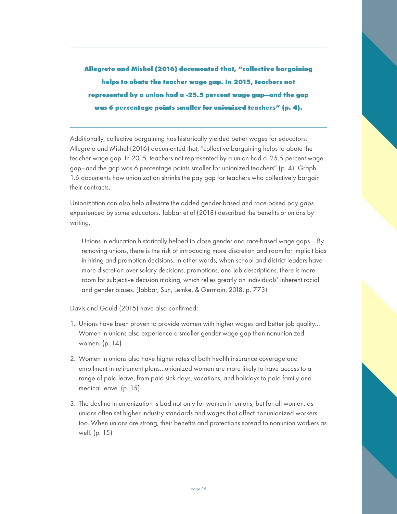**Allegreto and Mishel (2016) documented that, "collective bargaining helps to abate the teacher wage gap. In 2015, teachers not represented by a union had a -25.5 percent wage gap—and the gap was 6 percentage points smaller for unionized teachers" (p. 4).**

Additionally, collective bargaining has historically yielded better wages for educators. Allegreto and Mishel (2016) documented that, "collective bargaining helps to abate the teacher wage gap. In 2015, teachers not represented by a union had a -25.5 percent wage gap—and the gap was 6 percentage points smaller for unionized teachers" (p. 4). Graph 1.6 documents how unionization shrinks the pay gap for teachers who collectively bargain their contracts.

Unionization can also help alleviate the added gender-based and race-based pay gaps experienced by some educators. Jabbar et al (2018) described the benefits of unions by writing,

Unions in education historically helped to close gender and race-based wage gaps… By removing unions, there is the risk of introducing more discretion and room for implicit bias in hiring and promotion decisions. In other words, when school and district leaders have more discretion over salary decisions, promotions, and job descriptions, there is more room for subjective decision making, which relies greatly on individuals' inherent racial and gender biases. (Jabbar, Sun, Lemke, & Germain, 2018, p. 773)

Davis and Gould (2015) have also confirmed:

- 1. Unions have been proven to provide women with higher wages and better job quality… Women in unions also experience a smaller gender wage gap than nonunionized women. (p. 14)
- 2. Women in unions also have higher rates of both health insurance coverage and enrollment in retirement plans…unionized women are more likely to have access to a range of paid leave, from paid sick days, vacations, and holidays to paid family and medical leave. (p. 15)
- 3. The decline in unionization is bad not only for women in unions, but for all women, as unions often set higher industry standards and wages that affect nonunionized workers too. When unions are strong, their benefits and protections spread to nonunion workers as well. (p. 15)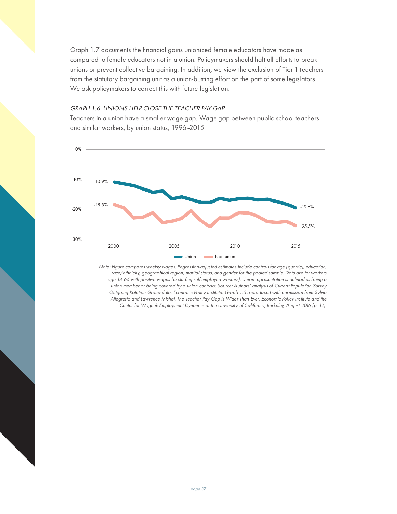Graph 1.7 documents the financial gains unionized female educators have made as compared to female educators not in a union. Policymakers should halt all efforts to break unions or prevent collective bargaining. In addition, we view the exclusion of Tier 1 teachers from the statutory bargaining unit as a union-busting effort on the part of some legislators. We ask policymakers to correct this with future legislation.

#### GRAPH 1.6: UNIONS HELP CLOSE THE TEACHER PAY GAP

Teachers in a union have a smaller wage gap. Wage gap between public school teachers and similar workers, by union status, 1996–2015



Note: Figure compares weekly wages. Regression-adjusted estimates include controls for age (quartic), education, race/ethnicity, geographical region, marital status, and gender for the pooled sample. Data are for workers age 18–64 with positive wages (excluding self-employed workers). Union representation is defined as being a union member or being covered by a union contract. Source: Authors' analysis of Current Population Survey Outgoing Rotation Group data. Economic Policy Institute. Graph 1.6 reproduced with permission from Sylvia Allegretto and Lawrence Mishel, The Teacher Pay Gap is Wider Than Ever, Economic Policy Institute and the Center for Wage & Employment Dynamics at the University of California, Berkeley, August 2016 (p. 12).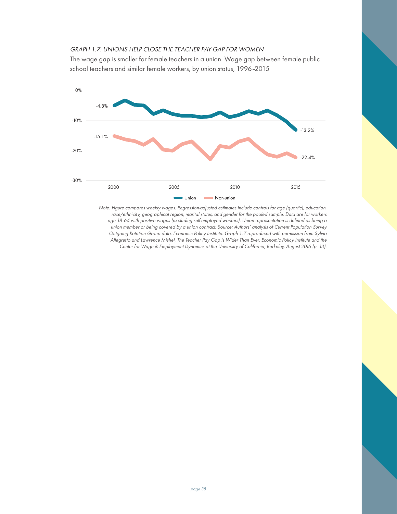#### GRAPH 1.7: UNIONS HELP CLOSE THE TEACHER PAY GAP FOR WOMEN

The wage gap is smaller for female teachers in a union. Wage gap between female public school teachers and similar female workers, by union status, 1996–2015



Note: Figure compares weekly wages. Regression-adjusted estimates include controls for age (quartic), education, race/ethnicity, geographical region, marital status, and gender for the pooled sample. Data are for workers age 18–64 with positive wages (excluding self-employed workers). Union representation is defined as being a union member or being covered by a union contract. Source: Authors' analysis of Current Population Survey Outgoing Rotation Group data. Economic Policy Institute. Graph 1.7 reproduced with permission from Sylvia Allegretto and Lawrence Mishel, The Teacher Pay Gap is Wider Than Ever, Economic Policy Institute and the Center for Wage & Employment Dynamics at the University of California, Berkeley, August 2016 (p. 13).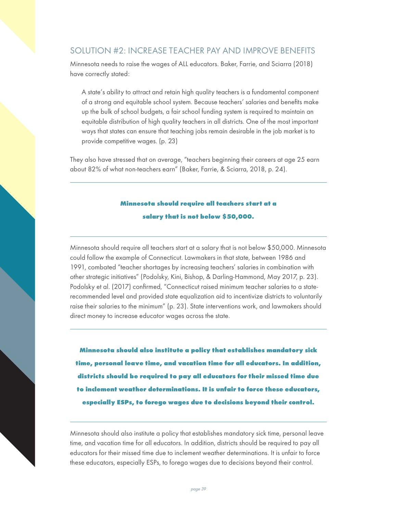### SOLUTION #2: INCREASE TEACHER PAY AND IMPROVE BENEFITS

Minnesota needs to raise the wages of ALL educators. Baker, Farrie, and Sciarra (2018) have correctly stated:

A state's ability to attract and retain high quality teachers is a fundamental component of a strong and equitable school system. Because teachers' salaries and benefits make up the bulk of school budgets, a fair school funding system is required to maintain an equitable distribution of high quality teachers in all districts. One of the most important ways that states can ensure that teaching jobs remain desirable in the job market is to provide competitive wages. (p. 23)

They also have stressed that on average, "teachers beginning their careers at age 25 earn about 82% of what non-teachers earn" (Baker, Farrie, & Sciarra, 2018, p. 24).

### **Minnesota should require all teachers start at a salary that is not below \$50,000.**

Minnesota should require all teachers start at a salary that is not below \$50,000. Minnesota could follow the example of Connecticut. Lawmakers in that state, between 1986 and 1991, combated "teacher shortages by increasing teachers' salaries in combination with other strategic initiatives" (Podolsky, Kini, Bishop, & Darling-Hammond, May 2017, p. 23). Podolsky et al. (2017) confirmed, "Connecticut raised minimum teacher salaries to a staterecommended level and provided state equalization aid to incentivize districts to voluntarily raise their salaries to the minimum" (p. 23). State interventions work, and lawmakers should direct money to increase educator wages across the state.

**Minnesota should also institute a policy that establishes mandatory sick time, personal leave time, and vacation time for all educators. In addition, districts should be required to pay all educators for their missed time due to inclement weather determinations. It is unfair to force these educators, especially ESPs, to forego wages due to decisions beyond their control.**

Minnesota should also institute a policy that establishes mandatory sick time, personal leave time, and vacation time for all educators. In addition, districts should be required to pay all educators for their missed time due to inclement weather determinations. It is unfair to force these educators, especially ESPs, to forego wages due to decisions beyond their control.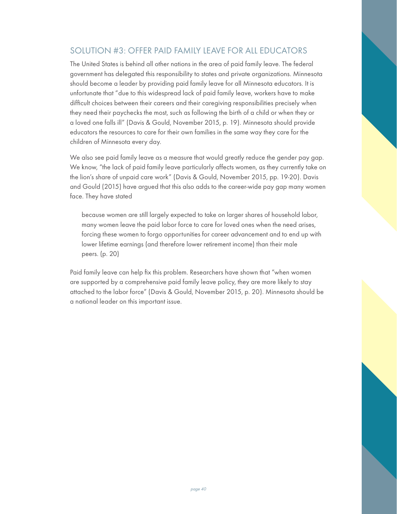### SOLUTION #3: OFFER PAID FAMILY LEAVE FOR ALL EDUCATORS

The United States is behind all other nations in the area of paid family leave. The federal government has delegated this responsibility to states and private organizations. Minnesota should become a leader by providing paid family leave for all Minnesota educators. It is unfortunate that "due to this widespread lack of paid family leave, workers have to make difficult choices between their careers and their caregiving responsibilities precisely when they need their paychecks the most, such as following the birth of a child or when they or a loved one falls ill" (Davis & Gould, November 2015, p. 19). Minnesota should provide educators the resources to care for their own families in the same way they care for the children of Minnesota every day.

We also see paid family leave as a measure that would greatly reduce the gender pay gap. We know, "the lack of paid family leave particularly affects women, as they currently take on the lion's share of unpaid care work" (Davis & Gould, November 2015, pp. 19-20). Davis and Gould (2015) have argued that this also adds to the career-wide pay gap many women face. They have stated

because women are still largely expected to take on larger shares of household labor, many women leave the paid labor force to care for loved ones when the need arises, forcing these women to forgo opportunities for career advancement and to end up with lower lifetime earnings (and therefore lower retirement income) than their male peers. (p. 20)

Paid family leave can help fix this problem. Researchers have shown that "when women are supported by a comprehensive paid family leave policy, they are more likely to stay attached to the labor force" (Davis & Gould, November 2015, p. 20). Minnesota should be a national leader on this important issue.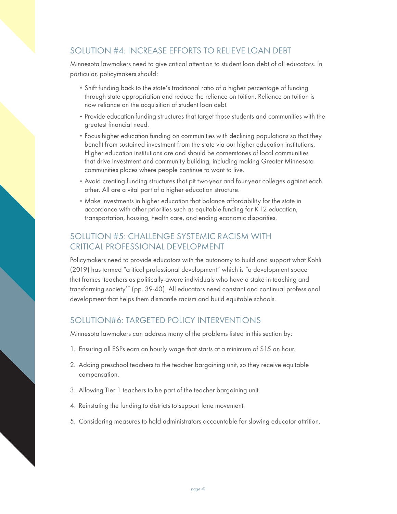### SOLUTION #4: INCREASE EFFORTS TO RELIEVE LOAN DEBT

Minnesota lawmakers need to give critical attention to student loan debt of all educators. In particular, policymakers should:

- •Shift funding back to the state's traditional ratio of a higher percentage of funding through state appropriation and reduce the reliance on tuition. Reliance on tuition is now reliance on the acquisition of student loan debt.
- •Provide education-funding structures that target those students and communities with the greatest financial need.
- •Focus higher education funding on communities with declining populations so that they benefit from sustained investment from the state via our higher education institutions. Higher education institutions are and should be cornerstones of local communities that drive investment and community building, including making Greater Minnesota communities places where people continue to want to live.
- Avoid creating funding structures that pit two-year and four-year colleges against each other. All are a vital part of a higher education structure.
- Make investments in higher education that balance affordability for the state in accordance with other priorities such as equitable funding for K-12 education, transportation, housing, health care, and ending economic disparities.

### SOLUTION #5: CHALLENGE SYSTEMIC RACISM WITH CRITICAL PROFESSIONAL DEVELOPMENT

Policymakers need to provide educators with the autonomy to build and support what Kohli (2019) has termed "critical professional development" which is "a development space that frames 'teachers as politically-aware individuals who have a stake in teaching and transforming society'" (pp. 39-40). All educators need constant and continual professional development that helps them dismantle racism and build equitable schools.

### SOLUTION#6: TARGETED POLICY INTERVENTIONS

Minnesota lawmakers can address many of the problems listed in this section by:

- 1. Ensuring all ESPs earn an hourly wage that starts at a minimum of \$15 an hour.
- 2. Adding preschool teachers to the teacher bargaining unit, so they receive equitable compensation.
- 3. Allowing Tier 1 teachers to be part of the teacher bargaining unit.
- 4. Reinstating the funding to districts to support lane movement.
- 5. Considering measures to hold administrators accountable for slowing educator attrition.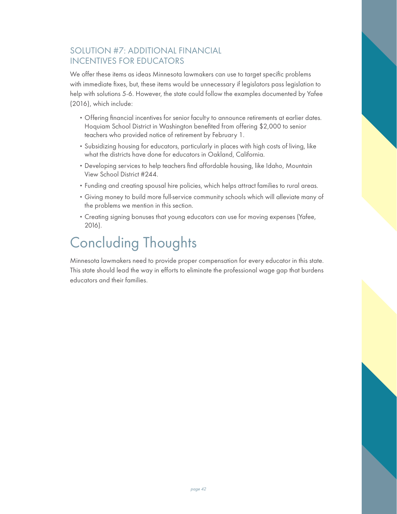### SOLUTION #7: ADDITIONAL FINANCIAL INCENTIVES FOR EDUCATORS

We offer these items as ideas Minnesota lawmakers can use to target specific problems with immediate fixes, but, these items would be unnecessary if legislators pass legislation to help with solutions 5-6. However, the state could follow the examples documented by Yafee (2016), which include:

- Offering financial incentives for senior faculty to announce retirements at earlier dates. Hoquiam School District in Washington benefited from offering \$2,000 to senior teachers who provided notice of retirement by February 1.
- •Subsidizing housing for educators, particularly in places with high costs of living, like what the districts have done for educators in Oakland, California.
- Developing services to help teachers find affordable housing, like Idaho, Mountain View School District #244.
- •Funding and creating spousal hire policies, which helps attract families to rural areas.
- Giving money to build more full-service community schools which will alleviate many of the problems we mention in this section.
- Creating signing bonuses that young educators can use for moving expenses (Yafee, 2016).

## Concluding Thoughts

Minnesota lawmakers need to provide proper compensation for every educator in this state. This state should lead the way in efforts to eliminate the professional wage gap that burdens educators and their families.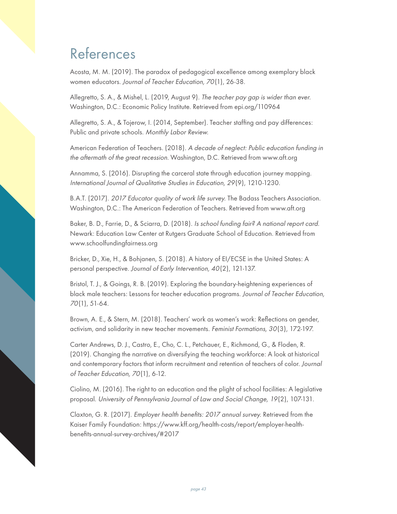## References

Acosta, M. M. (2019). The paradox of pedagogical excellence among exemplary black women educators. Journal of Teacher Education, 70(1), 26-38.

Allegretto, S. A., & Mishel, L. (2019, August 9). The teacher pay gap is wider than ever. Washington, D.C.: Economic Policy Institute. Retrieved from epi.org/110964

Allegretto, S. A., & Tojerow, I. (2014, September). Teacher staffing and pay differences: Public and private schools. Monthly Labor Review.

American Federation of Teachers. (2018). A decade of neglect: Public education funding in the aftermath of the great recession. Washington, D.C. Retrieved from www.aft.org

Annamma, S. (2016). Disrupting the carceral state through education journey mapping. International Journal of Qualitative Studies in Education, 29(9), 1210-1230.

B.A.T. (2017). 2017 Educator quality of work life survey. The Badass Teachers Association. Washington, D.C.: The American Federation of Teachers. Retrieved from www.aft.org

Baker, B. D., Farrie, D., & Sciarra, D. (2018). Is school funding fair? A national report card. Newark: Education Law Center at Rutgers Graduate School of Education. Retrieved from www.schoolfundingfairness.org

Bricker, D., Xie, H., & Bohjanen, S. (2018). A history of EI/ECSE in the United States: A personal perspective. Journal of Early Intervention, 40(2), 121-137.

Bristol, T. J., & Goings, R. B. (2019). Exploring the boundary-heightening experiences of black male teachers: Lessons for teacher education programs. Journal of Teacher Education, 70(1), 51-64.

Brown, A. E., & Stern, M. (2018). Teachers' work as women's work: Reflections on gender, activism, and solidarity in new teacher movements. Feminist Formations, 30(3), 172-197.

Carter Andrews, D. J., Castro, E., Cho, C. L., Petchauer, E., Richmond, G., & Floden, R. (2019). Changing the narrative on diversifying the teaching workforce: A look at historical and contemporary factors that inform recruitment and retention of teachers of color. Journal of Teacher Education, 70(1), 6-12.

Ciolino, M. (2016). The right to an education and the plight of school facilities: A legislative proposal. University of Pennsylvania Journal of Law and Social Change, 19(2), 107-131.

Claxton, G. R. (2017). Employer health benefits: 2017 annual survey. Retrieved from the Kaiser Family Foundation: https://www.kff.org/health-costs/report/employer-healthbenefits-annual-survey-archives/#2017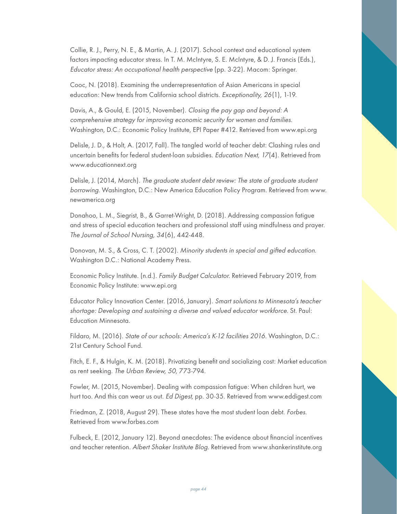Collie, R. J., Perry, N. E., & Martin, A. J. (2017). School context and educational system factors impacting educator stress. In T. M. McIntyre, S. E. McIntyre, & D. J. Francis (Eds.), Educator stress: An occupational health perspective (pp. 3-22). Macom: Springer.

Cooc, N. (2018). Examining the underrepresentation of Asian Americans in special education: New trends from California school districts. Exceptionality, 26(1), 1-19.

Davis, A., & Gould, E. (2015, November). Closing the pay gap and beyond: A comprehensive strategy for improving economic security for women and families. Washington, D.C.: Economic Policy Institute, EPI Paper #412. Retrieved from www.epi.org

Delisle, J. D., & Holt, A. (2017, Fall). The tangled world of teacher debt: Clashing rules and uncertain benefits for federal student-loan subsidies. Education Next, 17(4). Retrieved from www.educationnext.org

Delisle, J. (2014, March). The graduate student debt review: The state of graduate student borrowing. Washington, D.C.: New America Education Policy Program. Retrieved from www. newamerica.org

Donahoo, L. M., Siegrist, B., & Garret-Wright, D. (2018). Addressing compassion fatigue and stress of special education teachers and professional staff using mindfulness and prayer. The Journal of School Nursing, 34(6), 442-448.

Donovan, M. S., & Cross, C. T. (2002). Minority students in special and gifted education. Washington D.C.: National Academy Press.

Economic Policy Institute. (n.d.). Family Budget Calculator. Retrieved February 2019, from Economic Policy Institute: www.epi.org

Educator Policy Innovation Center. (2016, January). Smart solutions to Minnesota's teacher shortage: Developing and sustaining a diverse and valued educator workforce. St. Paul: Education Minnesota.

Fildaro, M. (2016). State of our schools: America's K-12 facilities 2016. Washington, D.C.: 21st Century School Fund.

Fitch, E. F., & Hulgin, K. M. (2018). Privatizing benefit and socializing cost: Market education as rent seeking. The Urban Review, 50, 773-794.

Fowler, M. (2015, November). Dealing with compassion fatigue: When children hurt, we hurt too. And this can wear us out. Ed Digest, pp. 30-35. Retrieved from www.eddigest.com

Friedman, Z. (2018, August 29). These states have the most student loan debt. Forbes. Retrieved from www.forbes.com

Fulbeck, E. (2012, January 12). Beyond anecdotes: The evidence about financial incentives and teacher retention. Albert Shaker Institute Blog. Retrieved from www.shankerinstitute.org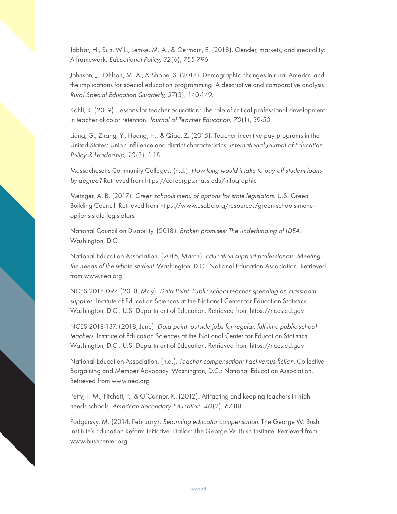Jabbar, H., Sun, W.L., Lemke, M. A., & Germain, E. (2018). Gender, markets, and inequality: A framework. Educational Policy, 32(6), 755-796.

Johnson, J., Ohlson, M. A., & Shope, S. (2018). Demographic changes in rural America and the implications for special education programming: A descriptive and comparative analysis. Rural Special Education Quarterly, 37(3), 140-149.

Kohli, R. (2019). Lessons for teacher education: The role of critical professional development in teacher of color retention. Journal of Teacher Education, 70(1), 39-50.

Liang, G., Zhang, Y., Huang, H., & Qiao, Z. (2015). Teacher incentive pay programs in the United States: Union influence and district characteristics. International Journal of Education Policy & Leadership, 10(3), 1-18.

Massachusetts Community Colleges. (n.d.). How long would it take to pay off student loans by degree? Retrieved from https://careergps.mass.edu/infographic

Metzger, A. B. (2017). Green schools menu of options for state legislators. U.S. Green Building Council. Retrieved from https://www.usgbc.org/resources/green-schools-menuoptions-state-legislators

National Council on Disability. (2018). Broken promises: The underfunding of IDEA. Washington, D.C.

National Education Association. (2015, March). Education support professionals: Meeting the needs of the whole student. Washington, D.C.: National Education Association. Retrieved from www.nea.org

NCES 2018-097. (2018, May). Data Point: Public school teacher spending on classroom supplies. Institute of Education Sciences at the National Center for Education Statistics. Washington, D.C.: U.S. Department of Education. Retrieved from https://nces.ed.gov

NCES 2018-137. (2018, June). Data point: outside jobs for regular, full-time public school teachers. Institute of Education Sciences at the National Center for Education Statistics. Washington, D.C.: U.S. Department of Education. Retrieved from https://nces.ed.gov

National Education Association. (n.d.). Teacher compensation: Fact versus fiction. Collective Bargaining and Member Advocacy. Washington, D.C.: National Education Association. Retrieved from www.nea.org

Petty, T. M., Fitchett, P., & O'Connor, K. (2012). Attracting and keeping teachers in high needs schools. American Secondary Education, 40(2), 67-88.

Podgursky, M. (2014, February). Reforming educator compensation. The George W. Bush Institute's Education Reform Initiative. Dallas: The George W. Bush Institute. Retrieved from www.bushcenter.org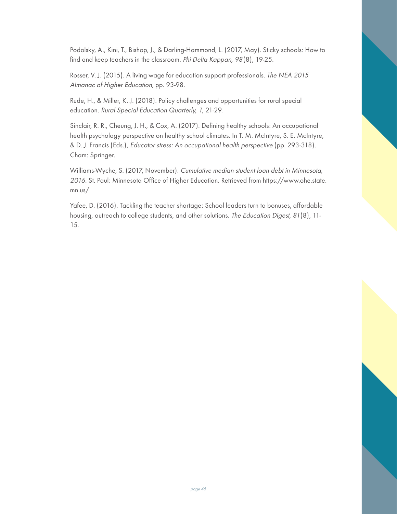Podolsky, A., Kini, T., Bishop, J., & Darling-Hammond, L. (2017, May). Sticky schools: How to find and keep teachers in the classroom. Phi Delta Kappan, 98(8), 19-25.

Rosser, V. J. (2015). A living wage for education support professionals. The NEA 2015 Almanac of Higher Education, pp. 93-98.

Rude, H., & Miller, K. J. (2018). Policy challenges and opportunities for rural special education. Rural Special Education Quarterly, 1, 21-29.

Sinclair, R. R., Cheung, J. H., & Cox, A. (2017). Defining healthy schools: An occupational health psychology perspective on healthy school climates. In T. M. McIntyre, S. E. McIntyre, & D. J. Francis (Eds.), Educator stress: An occupational health perspective (pp. 293-318). Cham: Springer.

Williams-Wyche, S. (2017, November). Cumulative median student loan debt in Minnesota, 2016. St. Paul: Minnesota Office of Higher Education. Retrieved from https://www.ohe.state. mn.us/

Yafee, D. (2016). Tackling the teacher shortage: School leaders turn to bonuses, affordable housing, outreach to college students, and other solutions. The Education Digest, 81(8), 11- 15.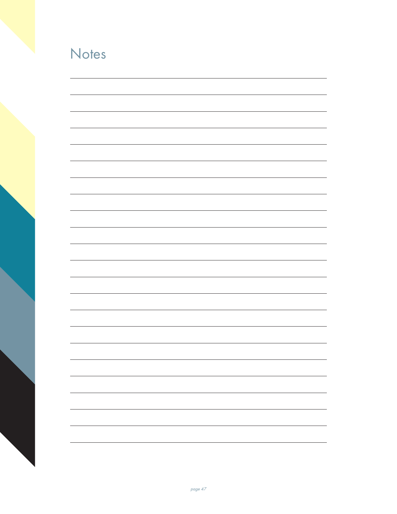## **Notes**

| $\overline{\phantom{0}}$ |  |  |
|--------------------------|--|--|
|                          |  |  |
|                          |  |  |
|                          |  |  |
|                          |  |  |
|                          |  |  |
|                          |  |  |
|                          |  |  |
|                          |  |  |
|                          |  |  |
|                          |  |  |
|                          |  |  |
|                          |  |  |
|                          |  |  |
|                          |  |  |
|                          |  |  |
|                          |  |  |
|                          |  |  |
|                          |  |  |
|                          |  |  |
|                          |  |  |
|                          |  |  |
|                          |  |  |
|                          |  |  |
|                          |  |  |
|                          |  |  |
|                          |  |  |
|                          |  |  |
|                          |  |  |
|                          |  |  |
|                          |  |  |
|                          |  |  |
|                          |  |  |
|                          |  |  |
|                          |  |  |
|                          |  |  |
|                          |  |  |
|                          |  |  |
|                          |  |  |
|                          |  |  |
|                          |  |  |
|                          |  |  |
|                          |  |  |
|                          |  |  |
|                          |  |  |
|                          |  |  |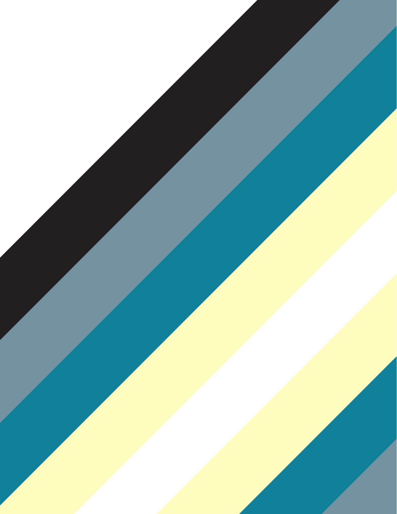